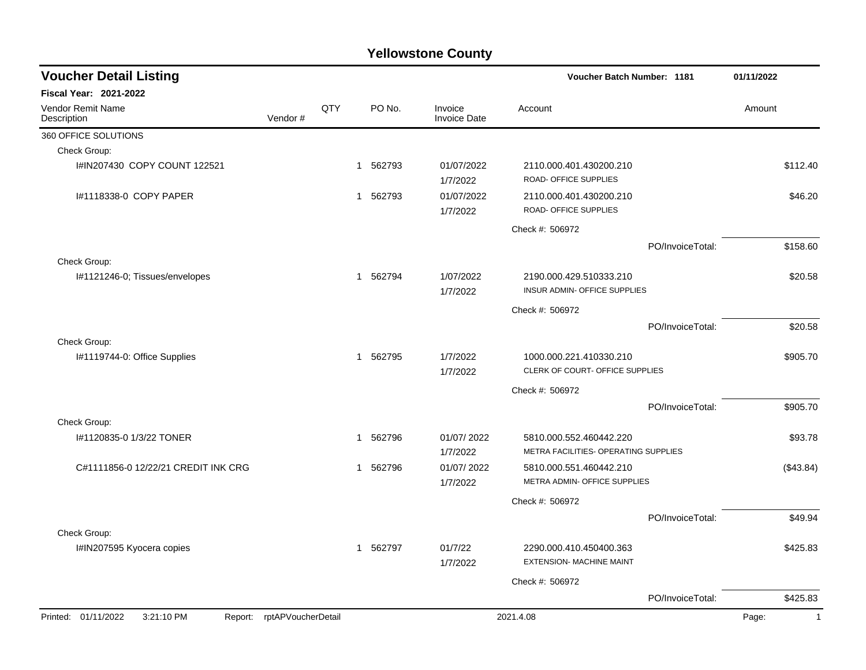| <b>Voucher Detail Listing</b>                                   |         |     |              |        |                                | Voucher Batch Number: 1181                                      | 01/11/2022       |                         |
|-----------------------------------------------------------------|---------|-----|--------------|--------|--------------------------------|-----------------------------------------------------------------|------------------|-------------------------|
| <b>Fiscal Year: 2021-2022</b>                                   |         |     |              |        |                                |                                                                 |                  |                         |
| Vendor Remit Name<br>Description                                | Vendor# | QTY |              | PO No. | Invoice<br><b>Invoice Date</b> | Account                                                         |                  | Amount                  |
| 360 OFFICE SOLUTIONS                                            |         |     |              |        |                                |                                                                 |                  |                         |
| Check Group:                                                    |         |     |              |        |                                |                                                                 |                  |                         |
| I#IN207430 COPY COUNT 122521                                    |         |     | $\mathbf{1}$ | 562793 | 01/07/2022<br>1/7/2022         | 2110.000.401.430200.210<br>ROAD- OFFICE SUPPLIES                |                  | \$112.40                |
| 1#1118338-0 COPY PAPER                                          |         |     | $\mathbf{1}$ | 562793 | 01/07/2022<br>1/7/2022         | 2110.000.401.430200.210<br>ROAD- OFFICE SUPPLIES                |                  | \$46.20                 |
|                                                                 |         |     |              |        |                                | Check #: 506972                                                 |                  |                         |
|                                                                 |         |     |              |        |                                |                                                                 | PO/InvoiceTotal: | \$158.60                |
| Check Group:                                                    |         |     |              |        |                                |                                                                 |                  |                         |
| I#1121246-0; Tissues/envelopes                                  |         |     | $\mathbf{1}$ | 562794 | 1/07/2022<br>1/7/2022          | 2190.000.429.510333.210<br>INSUR ADMIN- OFFICE SUPPLIES         |                  | \$20.58                 |
|                                                                 |         |     |              |        |                                | Check #: 506972                                                 |                  |                         |
|                                                                 |         |     |              |        |                                |                                                                 | PO/InvoiceTotal: | \$20.58                 |
| Check Group:                                                    |         |     |              |        |                                |                                                                 |                  |                         |
| I#1119744-0: Office Supplies                                    |         |     | $\mathbf{1}$ | 562795 | 1/7/2022<br>1/7/2022           | 1000.000.221.410330.210<br>CLERK OF COURT- OFFICE SUPPLIES      |                  | \$905.70                |
|                                                                 |         |     |              |        |                                | Check #: 506972                                                 |                  |                         |
|                                                                 |         |     |              |        |                                |                                                                 | PO/InvoiceTotal: | \$905.70                |
| Check Group:                                                    |         |     |              |        |                                |                                                                 |                  |                         |
| I#1120835-0 1/3/22 TONER                                        |         |     | $\mathbf 1$  | 562796 | 01/07/2022<br>1/7/2022         | 5810.000.552.460442.220<br>METRA FACILITIES- OPERATING SUPPLIES |                  | \$93.78                 |
| C#1111856-0 12/22/21 CREDIT INK CRG                             |         |     | 1            | 562796 | 01/07/2022<br>1/7/2022         | 5810.000.551.460442.210<br>METRA ADMIN- OFFICE SUPPLIES         |                  | (\$43.84)               |
|                                                                 |         |     |              |        |                                | Check #: 506972                                                 |                  |                         |
|                                                                 |         |     |              |        |                                |                                                                 | PO/InvoiceTotal: | \$49.94                 |
| Check Group:                                                    |         |     |              |        |                                |                                                                 |                  |                         |
| I#IN207595 Kyocera copies                                       |         |     | $\mathbf{1}$ | 562797 | 01/7/22<br>1/7/2022            | 2290.000.410.450400.363<br><b>EXTENSION- MACHINE MAINT</b>      |                  | \$425.83                |
|                                                                 |         |     |              |        |                                | Check #: 506972                                                 |                  |                         |
|                                                                 |         |     |              |        |                                |                                                                 | PO/InvoiceTotal: | \$425.83                |
| Printed: 01/11/2022<br>3:21:10 PM<br>Report: rptAPVoucherDetail |         |     |              |        |                                | 2021.4.08                                                       |                  | $\overline{1}$<br>Page: |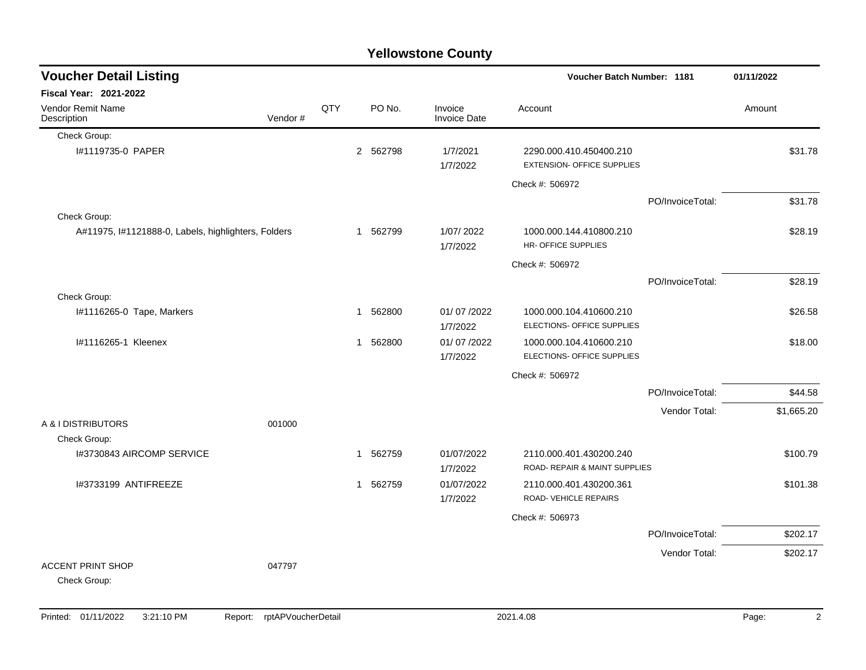| <b>Yellowstone County</b>                           |         |            |              |          |                                |                                                              |                  |            |  |  |  |
|-----------------------------------------------------|---------|------------|--------------|----------|--------------------------------|--------------------------------------------------------------|------------------|------------|--|--|--|
| <b>Voucher Detail Listing</b>                       |         |            |              |          |                                | Voucher Batch Number: 1181                                   |                  | 01/11/2022 |  |  |  |
| <b>Fiscal Year: 2021-2022</b>                       |         |            |              |          |                                |                                                              |                  |            |  |  |  |
| <b>Vendor Remit Name</b><br>Description             | Vendor# | <b>QTY</b> |              | PO No.   | Invoice<br><b>Invoice Date</b> | Account                                                      |                  | Amount     |  |  |  |
| Check Group:                                        |         |            |              |          |                                |                                                              |                  |            |  |  |  |
| #1119735-0 PAPER                                    |         |            |              | 2 562798 | 1/7/2021<br>1/7/2022           | 2290.000.410.450400.210<br><b>EXTENSION- OFFICE SUPPLIES</b> |                  | \$31.78    |  |  |  |
|                                                     |         |            |              |          |                                | Check #: 506972                                              |                  |            |  |  |  |
|                                                     |         |            |              |          |                                |                                                              | PO/InvoiceTotal: | \$31.78    |  |  |  |
| Check Group:                                        |         |            |              |          |                                |                                                              |                  |            |  |  |  |
| A#11975, I#1121888-0, Labels, highlighters, Folders |         |            |              | 1 562799 | 1/07/2022<br>1/7/2022          | 1000.000.144.410800.210<br>HR- OFFICE SUPPLIES               |                  | \$28.19    |  |  |  |
|                                                     |         |            |              |          |                                | Check #: 506972                                              |                  |            |  |  |  |
|                                                     |         |            |              |          |                                |                                                              | PO/InvoiceTotal: | \$28.19    |  |  |  |
| Check Group:                                        |         |            |              |          |                                |                                                              |                  |            |  |  |  |
| I#1116265-0 Tape, Markers                           |         |            | 1            | 562800   | 01/07/2022<br>1/7/2022         | 1000.000.104.410600.210<br>ELECTIONS- OFFICE SUPPLIES        |                  | \$26.58    |  |  |  |
| I#1116265-1 Kleenex                                 |         |            | 1            | 562800   | 01/07/2022<br>1/7/2022         | 1000.000.104.410600.210<br>ELECTIONS- OFFICE SUPPLIES        |                  | \$18.00    |  |  |  |
|                                                     |         |            |              |          |                                | Check #: 506972                                              |                  |            |  |  |  |
|                                                     |         |            |              |          |                                |                                                              | PO/InvoiceTotal: | \$44.58    |  |  |  |
|                                                     |         |            |              |          |                                |                                                              | Vendor Total:    | \$1,665.20 |  |  |  |
| A & I DISTRIBUTORS<br>Check Group:                  | 001000  |            |              |          |                                |                                                              |                  |            |  |  |  |
| I#3730843 AIRCOMP SERVICE                           |         |            | $\mathbf{1}$ | 562759   | 01/07/2022                     | 2110.000.401.430200.240                                      |                  | \$100.79   |  |  |  |
|                                                     |         |            |              |          | 1/7/2022                       | ROAD- REPAIR & MAINT SUPPLIES                                |                  |            |  |  |  |
| I#3733199 ANTIFREEZE                                |         |            |              | 1 562759 | 01/07/2022<br>1/7/2022         | 2110.000.401.430200.361<br>ROAD- VEHICLE REPAIRS             |                  | \$101.38   |  |  |  |
|                                                     |         |            |              |          |                                | Check #: 506973                                              |                  |            |  |  |  |
|                                                     |         |            |              |          |                                |                                                              | PO/InvoiceTotal: | \$202.17   |  |  |  |
|                                                     |         |            |              |          |                                |                                                              |                  |            |  |  |  |
| <b>ACCENT PRINT SHOP</b><br>Check Group:            | 047797  |            |              |          |                                |                                                              | Vendor Total:    | \$202.17   |  |  |  |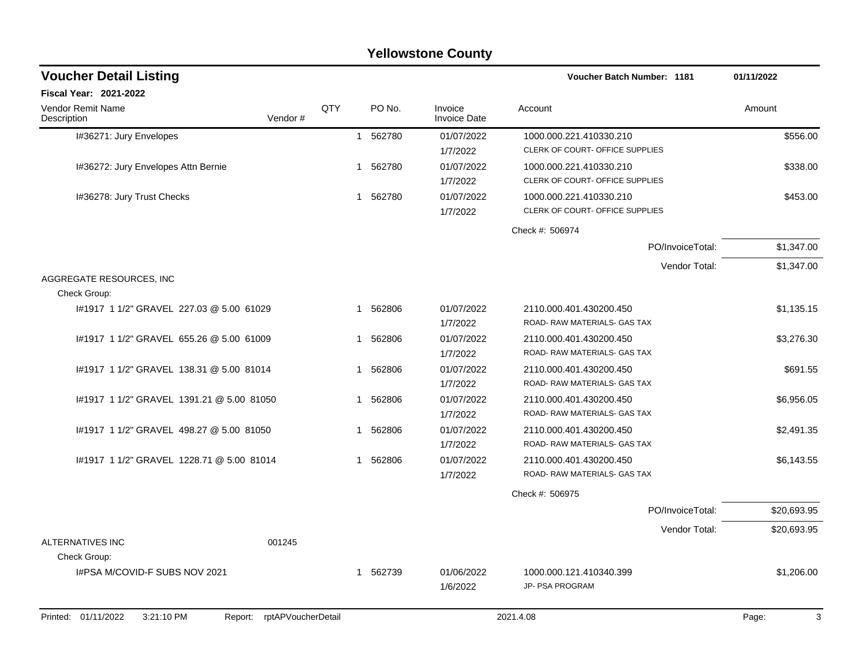#### I#36271: Jury Envelopes 6556.00 11 562780 01/07/2022 1000.000.221.410330.210 5556.00 1/7/2022 CLERK OF COURT- OFFICE SUPPLIES I#36272: Jury Envelopes Attn Bernie 1 1 562780 01/07/2022 1000.000.221.410330.210 1/7/2022 CLERK OF COURT- OFFICE SUPPLIES I#36278: Jury Trust Checks 1 562780 01/07/2022 1000.000.221.410330.210 \$453.00 1/7/2022 CLERK OF COURT- OFFICE SUPPLIES Check #: 506974 PO/InvoiceTotal: \$1,347.00 Vendor Total: \$1,347.00 AGGREGATE RESOURCES, INC Check Group: I#1917 1 1/2" GRAVEL 227.03 @ 5.00 61029 1 562806 01/07/2022 2110.000.401.430200.450 \$1,135.15 1/7/2022 ROAD- RAW MATERIALS- GAS TAX I#1917 1 1/2" GRAVEL 655.26 @ 5.00 61009 1 1 562806 21/07/2022 2110.000.401.430200.450 1/7/2022 ROAD- RAW MATERIALS- GAS TAX I#1917 1 1/2" GRAVEL 138.31 @ 5.00 81014 1 562806 01/07/2022 2110.000.401.430200.450 \$691.55 1/7/2022 ROAD- RAW MATERIALS- GAS TAX I#1917 1 1/2" GRAVEL 1391.21 @ 5.00 81050 1 562806 01/07/2022 2110.000.401.430200.450 \$6,956.05 1/7/2022 ROAD- RAW MATERIALS- GAS TAX I#1917 1 1/2" GRAVEL 498.27 @ 5.00 81050 1 1 562806 01/07/2022 2110.000.401.430200.450 1/7/2022 ROAD- RAW MATERIALS- GAS TAX I#1917 1 1/2" GRAVEL 1228.71 @ 5.00 81014 1 562806 01/07/2022 2110.000.401.430200.450 \$6,143.55 1/7/2022 ROAD- RAW MATERIALS- GAS TAX Check #: 506975 PO/InvoiceTotal: \$20,693.95 Vendor Total: \$20,693.95 ALTERNATIVES INC 001245 Check Group: I#PSA M/COVID-F SUBS NOV 2021 1 562739 01/06/2022 1000.000.121.410340.399 \$1,206.00 1/6/2022 JP- PSA PROGRAM **Voucher Batch Number: Yellowstone County** Vendor Remit Name **Description Voucher Detail Listing Fiscal Year: 2021-2022 1181 01/11/2022** PO No. Invoice Account Amount Amount Amount Amount Vendor # QTY Invoice Date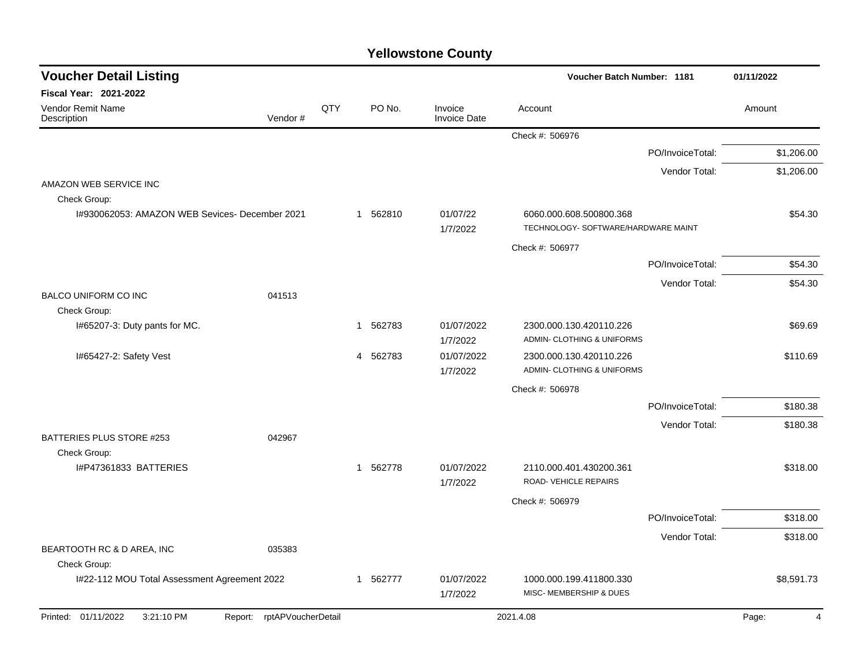| <b>Voucher Detail Listing</b>                  |                    |     |                       |                                | Voucher Batch Number: 1181                                     |                  | 01/11/2022 |
|------------------------------------------------|--------------------|-----|-----------------------|--------------------------------|----------------------------------------------------------------|------------------|------------|
| Fiscal Year: 2021-2022                         |                    |     |                       |                                |                                                                |                  |            |
| Vendor Remit Name<br>Description               | Vendor#            | QTY | PO No.                | Invoice<br><b>Invoice Date</b> | Account                                                        |                  | Amount     |
|                                                |                    |     |                       |                                | Check #: 506976                                                |                  |            |
|                                                |                    |     |                       |                                |                                                                | PO/InvoiceTotal: | \$1,206.00 |
|                                                |                    |     |                       |                                |                                                                | Vendor Total:    | \$1,206.00 |
| AMAZON WEB SERVICE INC                         |                    |     |                       |                                |                                                                |                  |            |
| Check Group:                                   |                    |     |                       |                                |                                                                |                  |            |
| I#930062053: AMAZON WEB Sevices- December 2021 |                    |     | 1 562810              | 01/07/22<br>1/7/2022           | 6060.000.608.500800.368<br>TECHNOLOGY- SOFTWARE/HARDWARE MAINT |                  | \$54.30    |
|                                                |                    |     |                       |                                | Check #: 506977                                                |                  |            |
|                                                |                    |     |                       |                                |                                                                | PO/InvoiceTotal: | \$54.30    |
|                                                |                    |     |                       |                                |                                                                | Vendor Total:    | \$54.30    |
| <b>BALCO UNIFORM CO INC</b>                    | 041513             |     |                       |                                |                                                                |                  |            |
| Check Group:                                   |                    |     |                       |                                |                                                                |                  |            |
| I#65207-3: Duty pants for MC.                  |                    |     | 562783<br>1           | 01/07/2022<br>1/7/2022         | 2300.000.130.420110.226<br>ADMIN- CLOTHING & UNIFORMS          |                  | \$69.69    |
| I#65427-2: Safety Vest                         |                    |     | 4 562783              | 01/07/2022<br>1/7/2022         | 2300.000.130.420110.226<br>ADMIN- CLOTHING & UNIFORMS          |                  | \$110.69   |
|                                                |                    |     |                       |                                | Check #: 506978                                                |                  |            |
|                                                |                    |     |                       |                                |                                                                | PO/InvoiceTotal: | \$180.38   |
|                                                |                    |     |                       |                                |                                                                | Vendor Total:    | \$180.38   |
| BATTERIES PLUS STORE #253                      | 042967             |     |                       |                                |                                                                |                  |            |
| Check Group:                                   |                    |     |                       |                                |                                                                |                  |            |
| I#P47361833 BATTERIES                          |                    |     | 562778<br>$\mathbf 1$ | 01/07/2022<br>1/7/2022         | 2110.000.401.430200.361<br>ROAD-VEHICLE REPAIRS                |                  | \$318.00   |
|                                                |                    |     |                       |                                | Check #: 506979                                                |                  |            |
|                                                |                    |     |                       |                                |                                                                | PO/InvoiceTotal: | \$318.00   |
|                                                |                    |     |                       |                                |                                                                | Vendor Total:    | \$318.00   |
| BEARTOOTH RC & D AREA, INC                     | 035383             |     |                       |                                |                                                                |                  |            |
| Check Group:                                   |                    |     |                       |                                |                                                                |                  |            |
| I#22-112 MOU Total Assessment Agreement 2022   |                    |     | 1 562777              | 01/07/2022<br>1/7/2022         | 1000.000.199.411800.330<br>MISC- MEMBERSHIP & DUES             |                  | \$8,591.73 |
| Printed: 01/11/2022<br>3:21:10 PM<br>Report:   | rptAPVoucherDetail |     |                       |                                | 2021.4.08                                                      |                  | Page:<br>4 |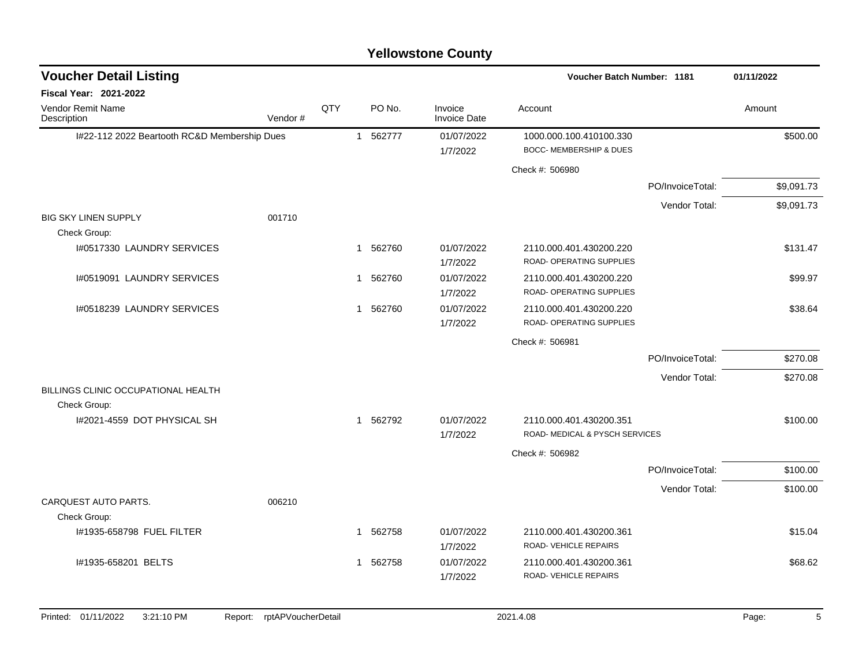#### I#22-112 2022 Beartooth RC&D Membership Dues 1 562777 01/07/2022 1000.000.100.410100.330 \$500.00 1/7/2022 BOCC- MEMBERSHIP & DUES Check #: 506980 PO/InvoiceTotal: \$9,091.73 Vendor Total: \$9,091.73 BIG SKY LINEN SUPPLY 001710 Check Group: I#0517330 LAUNDRY SERVICES 131.47 (1 562760 01/07/2022 2110.000.401.430200.220 \$131.47 1/7/2022 ROAD- OPERATING SUPPLIES I#0519091 LAUNDRY SERVICES 699.97 1 562760 01/07/2022 2110.000.401.430200.220 599.97 1/7/2022 ROAD- OPERATING SUPPLIES I#0518239 LAUNDRY SERVICES 1 562760 01/07/2022 2110.000.401.430200.220 \$38.64 1/7/2022 ROAD- OPERATING SUPPLIES Check #: 506981 PO/InvoiceTotal: \$270.08 Vendor Total: \$270.08 BILLINGS CLINIC OCCUPATIONAL HEALTH Check Group: I#2021-4559 DOT PHYSICAL SH 1 562792 01/07/2022 2110.000.401.430200.351 \$100.00 1/7/2022 ROAD- MEDICAL & PYSCH SERVICES Check #: 506982 PO/InvoiceTotal: \$100.00 Vendor Total: \$100.00 CARQUEST AUTO PARTS. 006210 Check Group: 1#1935-658798 FUEL FILTER \$15.04 \$15.04 1 562758 01/07/2022 2110.000.401.430200.361 1/7/2022 ROAD- VEHICLE REPAIRS 1#1935-658201 BELTS 1 562758 01/07/2022 2110.000.401.430200.361 \$68.62 1/7/2022 ROAD- VEHICLE REPAIRS **Voucher Batch Number: Yellowstone County** Vendor Remit Name **Description Voucher Detail Listing Fiscal Year: 2021-2022 1181 01/11/2022** PO No. Invoice Account Amount Amount Amount Amount Vendor # **QTY** Invoice Date

Printed: 01/11/2022 3:21:10 PM Report: rptAPVoucherDetail 2021.4.08 2021.4.08 Page: 5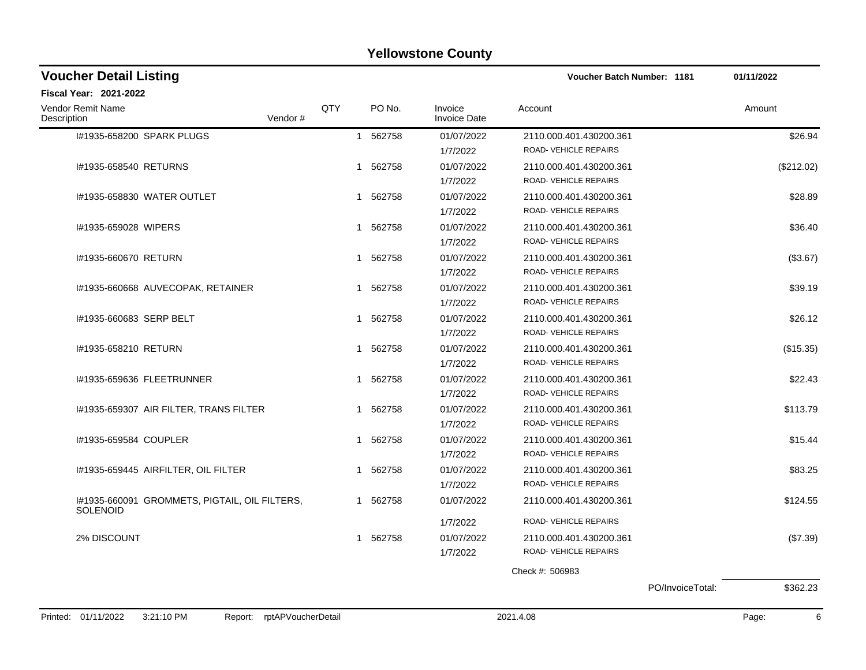| <b>Voucher Detail Listing</b>                                    |                    |              |        |                                | <b>Voucher Batch Number: 1181</b> |                  | 01/11/2022 |
|------------------------------------------------------------------|--------------------|--------------|--------|--------------------------------|-----------------------------------|------------------|------------|
| Fiscal Year: 2021-2022                                           |                    |              |        |                                |                                   |                  |            |
| <b>Vendor Remit Name</b><br>Description                          | Vendor#            | QTY          | PO No. | Invoice<br><b>Invoice Date</b> | Account                           |                  | Amount     |
| I#1935-658200 SPARK PLUGS                                        |                    | $\mathbf{1}$ | 562758 | 01/07/2022                     | 2110.000.401.430200.361           |                  | \$26.94    |
|                                                                  |                    |              |        | 1/7/2022                       | ROAD-VEHICLE REPAIRS              |                  |            |
| #1935-658540 RETURNS                                             |                    | 1            | 562758 | 01/07/2022                     | 2110.000.401.430200.361           |                  | (\$212.02) |
|                                                                  |                    |              |        | 1/7/2022                       | ROAD-VEHICLE REPAIRS              |                  |            |
| 1#1935-658830 WATER OUTLET                                       |                    | 1            | 562758 | 01/07/2022                     | 2110.000.401.430200.361           |                  | \$28.89    |
|                                                                  |                    |              |        | 1/7/2022                       | ROAD-VEHICLE REPAIRS              |                  |            |
| #1935-659028 WIPERS                                              |                    | 1            | 562758 | 01/07/2022                     | 2110.000.401.430200.361           |                  | \$36.40    |
|                                                                  |                    |              |        | 1/7/2022                       | ROAD-VEHICLE REPAIRS              |                  |            |
| #1935-660670 RETURN                                              |                    | 1            | 562758 | 01/07/2022                     | 2110.000.401.430200.361           |                  | (\$3.67)   |
|                                                                  |                    |              |        | 1/7/2022                       | ROAD-VEHICLE REPAIRS              |                  |            |
| I#1935-660668 AUVECOPAK, RETAINER                                |                    | 1            | 562758 | 01/07/2022                     | 2110.000.401.430200.361           |                  | \$39.19    |
|                                                                  |                    |              |        | 1/7/2022                       | ROAD-VEHICLE REPAIRS              |                  |            |
| 1#1935-660683 SERP BELT                                          |                    | 1            | 562758 | 01/07/2022                     | 2110.000.401.430200.361           |                  | \$26.12    |
|                                                                  |                    |              |        | 1/7/2022                       | ROAD-VEHICLE REPAIRS              |                  |            |
| #1935-658210 RETURN                                              |                    | 1            | 562758 | 01/07/2022                     | 2110.000.401.430200.361           |                  | (\$15.35)  |
|                                                                  |                    |              |        | 1/7/2022                       | ROAD-VEHICLE REPAIRS              |                  |            |
| 1#1935-659636 FLEETRUNNER                                        |                    | 1            | 562758 | 01/07/2022                     | 2110.000.401.430200.361           |                  | \$22.43    |
|                                                                  |                    |              |        | 1/7/2022                       | ROAD-VEHICLE REPAIRS              |                  |            |
| #1935-659307 AIR FILTER, TRANS FILTER                            |                    | 1            | 562758 | 01/07/2022                     | 2110.000.401.430200.361           |                  | \$113.79   |
|                                                                  |                    |              |        | 1/7/2022                       | ROAD-VEHICLE REPAIRS              |                  |            |
| I#1935-659584 COUPLER                                            |                    | 1            | 562758 | 01/07/2022                     | 2110.000.401.430200.361           |                  | \$15.44    |
|                                                                  |                    |              |        | 1/7/2022                       | ROAD-VEHICLE REPAIRS              |                  |            |
| I#1935-659445 AIRFILTER, OIL FILTER                              |                    | 1            | 562758 | 01/07/2022                     | 2110.000.401.430200.361           |                  | \$83.25    |
|                                                                  |                    |              |        | 1/7/2022                       | ROAD-VEHICLE REPAIRS              |                  |            |
| I#1935-660091 GROMMETS, PIGTAIL, OIL FILTERS,<br><b>SOLENOID</b> |                    | 1            | 562758 | 01/07/2022                     | 2110.000.401.430200.361           |                  | \$124.55   |
|                                                                  |                    |              |        | 1/7/2022                       | ROAD-VEHICLE REPAIRS              |                  |            |
| 2% DISCOUNT                                                      |                    | 1            | 562758 | 01/07/2022                     | 2110.000.401.430200.361           |                  | (\$7.39)   |
|                                                                  |                    |              |        | 1/7/2022                       | ROAD-VEHICLE REPAIRS              |                  |            |
|                                                                  |                    |              |        |                                | Check #: 506983                   |                  |            |
|                                                                  |                    |              |        |                                |                                   | PO/InvoiceTotal: | \$362.23   |
| Printed: 01/11/2022<br>3:21:10 PM                                |                    |              |        |                                | 2021.4.08                         |                  | 6          |
| Report:                                                          | rptAPVoucherDetail |              |        |                                |                                   |                  | Page:      |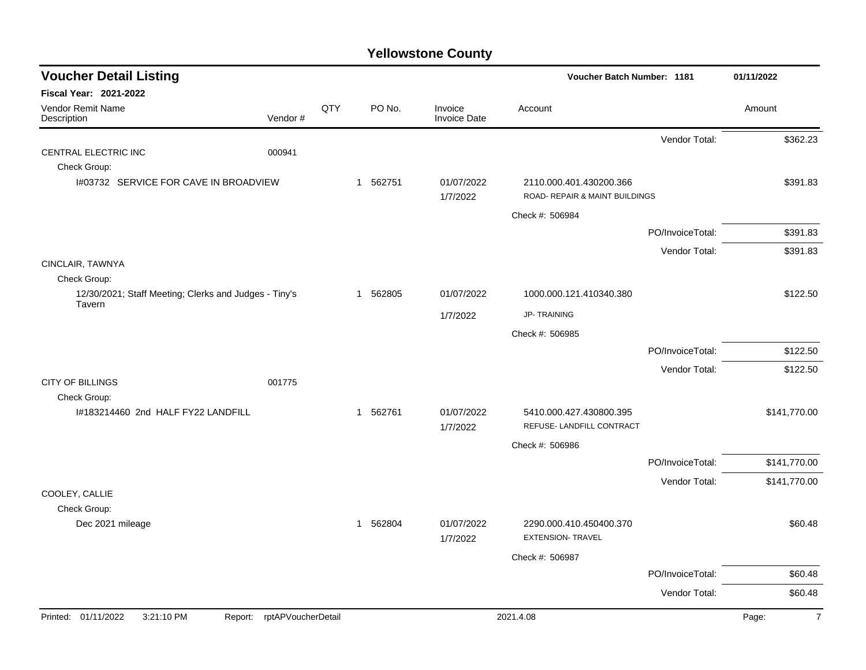| <b>Voucher Detail Listing</b>                                         |                    |     |          |                                | Voucher Batch Number: 1181                                |                  | 01/11/2022              |
|-----------------------------------------------------------------------|--------------------|-----|----------|--------------------------------|-----------------------------------------------------------|------------------|-------------------------|
| Fiscal Year: 2021-2022                                                |                    |     |          |                                |                                                           |                  |                         |
| Vendor Remit Name<br>Description                                      | Vendor#            | QTY | PO No.   | Invoice<br><b>Invoice Date</b> | Account                                                   |                  | Amount                  |
|                                                                       |                    |     |          |                                |                                                           | Vendor Total:    | \$362.23                |
| CENTRAL ELECTRIC INC                                                  | 000941             |     |          |                                |                                                           |                  |                         |
| Check Group:                                                          |                    |     |          |                                |                                                           |                  |                         |
| I#03732 SERVICE FOR CAVE IN BROADVIEW                                 |                    |     | 1 562751 | 01/07/2022<br>1/7/2022         | 2110.000.401.430200.366<br>ROAD- REPAIR & MAINT BUILDINGS |                  | \$391.83                |
|                                                                       |                    |     |          |                                | Check #: 506984                                           |                  |                         |
|                                                                       |                    |     |          |                                |                                                           | PO/InvoiceTotal: | \$391.83                |
|                                                                       |                    |     |          |                                |                                                           | Vendor Total:    | \$391.83                |
| CINCLAIR, TAWNYA                                                      |                    |     |          |                                |                                                           |                  |                         |
| Check Group:<br>12/30/2021; Staff Meeting; Clerks and Judges - Tiny's |                    |     | 1 562805 | 01/07/2022                     | 1000.000.121.410340.380                                   |                  | \$122.50                |
| Tavern                                                                |                    |     |          |                                | <b>JP-TRAINING</b>                                        |                  |                         |
|                                                                       |                    |     |          | 1/7/2022                       |                                                           |                  |                         |
|                                                                       |                    |     |          |                                | Check #: 506985                                           |                  |                         |
|                                                                       |                    |     |          |                                |                                                           | PO/InvoiceTotal: | \$122.50                |
| <b>CITY OF BILLINGS</b>                                               | 001775             |     |          |                                |                                                           | Vendor Total:    | \$122.50                |
| Check Group:                                                          |                    |     |          |                                |                                                           |                  |                         |
| I#183214460 2nd HALF FY22 LANDFILL                                    |                    |     | 1 562761 | 01/07/2022<br>1/7/2022         | 5410.000.427.430800.395<br>REFUSE- LANDFILL CONTRACT      |                  | \$141,770.00            |
|                                                                       |                    |     |          |                                | Check #: 506986                                           |                  |                         |
|                                                                       |                    |     |          |                                |                                                           | PO/InvoiceTotal: | \$141,770.00            |
|                                                                       |                    |     |          |                                |                                                           | Vendor Total:    | \$141,770.00            |
| COOLEY, CALLIE                                                        |                    |     |          |                                |                                                           |                  |                         |
| Check Group:                                                          |                    |     |          |                                |                                                           |                  |                         |
| Dec 2021 mileage                                                      |                    |     | 1 562804 | 01/07/2022<br>1/7/2022         | 2290.000.410.450400.370<br><b>EXTENSION- TRAVEL</b>       |                  | \$60.48                 |
|                                                                       |                    |     |          |                                | Check #: 506987                                           |                  |                         |
|                                                                       |                    |     |          |                                |                                                           | PO/InvoiceTotal: | \$60.48                 |
|                                                                       |                    |     |          |                                |                                                           | Vendor Total:    | \$60.48                 |
| Printed: 01/11/2022<br>3:21:10 PM<br>Report:                          | rptAPVoucherDetail |     |          |                                | 2021.4.08                                                 |                  | $\overline{7}$<br>Page: |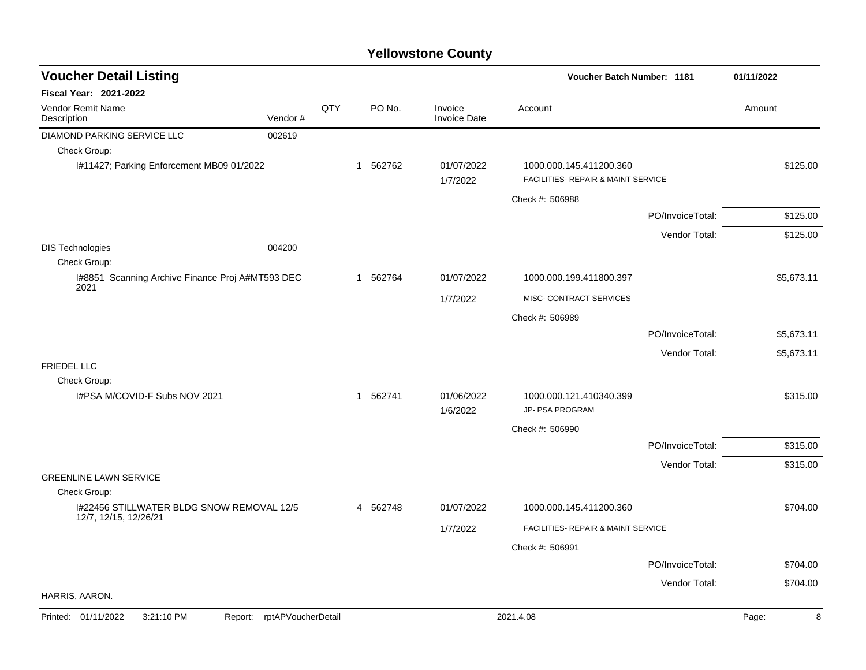| <b>Voucher Detail Listing</b>                             |                            |     |          |                                | Voucher Batch Number: 1181                                    |                  | 01/11/2022 |
|-----------------------------------------------------------|----------------------------|-----|----------|--------------------------------|---------------------------------------------------------------|------------------|------------|
| Fiscal Year: 2021-2022                                    |                            |     |          |                                |                                                               |                  |            |
| Vendor Remit Name<br>Description                          | Vendor#                    | QTY | PO No.   | Invoice<br><b>Invoice Date</b> | Account                                                       |                  | Amount     |
| DIAMOND PARKING SERVICE LLC                               | 002619                     |     |          |                                |                                                               |                  |            |
| Check Group:                                              |                            |     |          |                                |                                                               |                  |            |
| I#11427; Parking Enforcement MB09 01/2022                 |                            |     | 1 562762 | 01/07/2022<br>1/7/2022         | 1000.000.145.411200.360<br>FACILITIES- REPAIR & MAINT SERVICE |                  | \$125.00   |
|                                                           |                            |     |          |                                | Check #: 506988                                               |                  |            |
|                                                           |                            |     |          |                                |                                                               | PO/InvoiceTotal: | \$125.00   |
|                                                           |                            |     |          |                                |                                                               | Vendor Total:    | \$125.00   |
| <b>DIS Technologies</b><br>Check Group:                   | 004200                     |     |          |                                |                                                               |                  |            |
| I#8851 Scanning Archive Finance Proj A#MT593 DEC<br>2021  |                            |     | 1 562764 | 01/07/2022                     | 1000.000.199.411800.397                                       |                  | \$5,673.11 |
|                                                           |                            |     |          | 1/7/2022                       | MISC- CONTRACT SERVICES                                       |                  |            |
|                                                           |                            |     |          |                                | Check #: 506989                                               |                  |            |
|                                                           |                            |     |          |                                |                                                               | PO/InvoiceTotal: | \$5,673.11 |
|                                                           |                            |     |          |                                |                                                               | Vendor Total:    | \$5,673.11 |
| <b>FRIEDEL LLC</b>                                        |                            |     |          |                                |                                                               |                  |            |
| Check Group:                                              |                            |     |          |                                |                                                               |                  |            |
| I#PSA M/COVID-F Subs NOV 2021                             |                            |     | 1 562741 | 01/06/2022<br>1/6/2022         | 1000.000.121.410340.399<br>JP- PSA PROGRAM                    |                  | \$315.00   |
|                                                           |                            |     |          |                                | Check #: 506990                                               |                  |            |
|                                                           |                            |     |          |                                |                                                               | PO/InvoiceTotal: | \$315.00   |
|                                                           |                            |     |          |                                |                                                               | Vendor Total:    | \$315.00   |
| <b>GREENLINE LAWN SERVICE</b>                             |                            |     |          |                                |                                                               |                  |            |
| Check Group:<br>I#22456 STILLWATER BLDG SNOW REMOVAL 12/5 |                            |     | 4 562748 | 01/07/2022                     | 1000.000.145.411200.360                                       |                  | \$704.00   |
| 12/7, 12/15, 12/26/21                                     |                            |     |          |                                | FACILITIES- REPAIR & MAINT SERVICE                            |                  |            |
|                                                           |                            |     |          | 1/7/2022                       |                                                               |                  |            |
|                                                           |                            |     |          |                                | Check #: 506991                                               |                  |            |
|                                                           |                            |     |          |                                |                                                               | PO/InvoiceTotal: | \$704.00   |
| HARRIS, AARON.                                            |                            |     |          |                                |                                                               | Vendor Total:    | \$704.00   |
| Printed: 01/11/2022<br>3:21:10 PM                         |                            |     |          |                                | 2021.4.08                                                     |                  | 8          |
|                                                           | Report: rptAPVoucherDetail |     |          |                                |                                                               |                  | Page:      |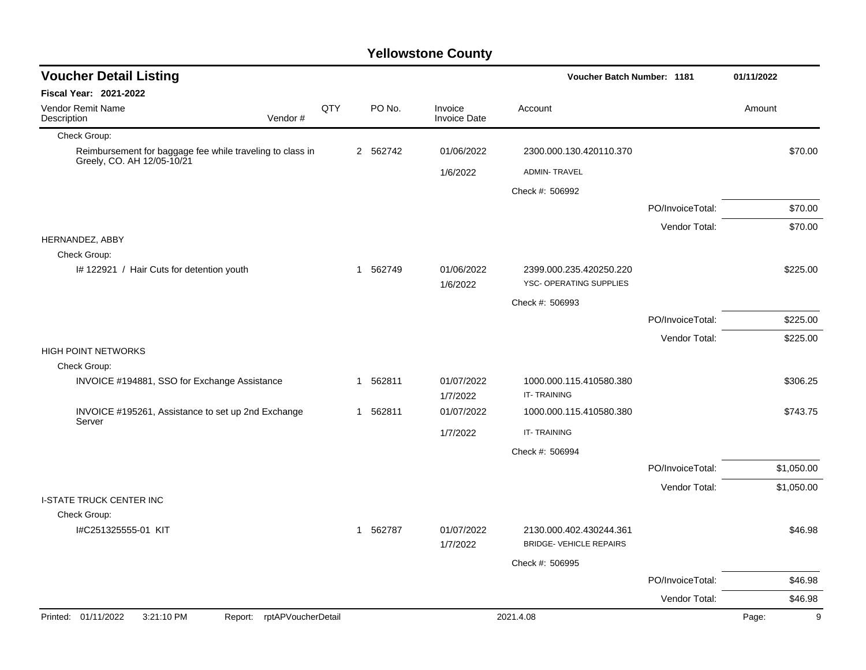| <b>Voucher Detail Listing</b>                                                           |                            |     |          | Voucher Batch Number: 1181     | 01/11/2022                                                |                  |            |
|-----------------------------------------------------------------------------------------|----------------------------|-----|----------|--------------------------------|-----------------------------------------------------------|------------------|------------|
| <b>Fiscal Year: 2021-2022</b>                                                           |                            |     |          |                                |                                                           |                  |            |
| Vendor Remit Name<br>Description                                                        | Vendor#                    | QTY | PO No.   | Invoice<br><b>Invoice Date</b> | Account                                                   |                  | Amount     |
| Check Group:                                                                            |                            |     |          |                                |                                                           |                  |            |
| Reimbursement for baggage fee while traveling to class in<br>Greely, CO. AH 12/05-10/21 |                            |     | 2 562742 | 01/06/2022                     | 2300.000.130.420110.370                                   |                  | \$70.00    |
|                                                                                         |                            |     |          | 1/6/2022                       | <b>ADMIN-TRAVEL</b>                                       |                  |            |
|                                                                                         |                            |     |          |                                | Check #: 506992                                           |                  |            |
|                                                                                         |                            |     |          |                                |                                                           | PO/InvoiceTotal: | \$70.00    |
|                                                                                         |                            |     |          |                                |                                                           | Vendor Total:    | \$70.00    |
| HERNANDEZ, ABBY<br>Check Group:                                                         |                            |     |          |                                |                                                           |                  |            |
| #122921 / Hair Cuts for detention youth                                                 |                            |     | 1 562749 | 01/06/2022<br>1/6/2022         | 2399.000.235.420250.220<br>YSC- OPERATING SUPPLIES        |                  | \$225.00   |
|                                                                                         |                            |     |          |                                | Check #: 506993                                           |                  |            |
|                                                                                         |                            |     |          |                                |                                                           | PO/InvoiceTotal: | \$225.00   |
|                                                                                         |                            |     |          |                                |                                                           | Vendor Total:    | \$225.00   |
| <b>HIGH POINT NETWORKS</b>                                                              |                            |     |          |                                |                                                           |                  |            |
| Check Group:                                                                            |                            |     |          |                                |                                                           |                  |            |
| INVOICE #194881, SSO for Exchange Assistance                                            |                            |     | 1 562811 | 01/07/2022<br>1/7/2022         | 1000.000.115.410580.380<br><b>IT-TRAINING</b>             |                  | \$306.25   |
| INVOICE #195261, Assistance to set up 2nd Exchange                                      |                            |     | 1 562811 | 01/07/2022                     | 1000.000.115.410580.380                                   |                  | \$743.75   |
| Server                                                                                  |                            |     |          | 1/7/2022                       | <b>IT-TRAINING</b>                                        |                  |            |
|                                                                                         |                            |     |          |                                | Check #: 506994                                           |                  |            |
|                                                                                         |                            |     |          |                                |                                                           | PO/InvoiceTotal: | \$1,050.00 |
|                                                                                         |                            |     |          |                                |                                                           | Vendor Total:    | \$1,050.00 |
| <b>I-STATE TRUCK CENTER INC</b>                                                         |                            |     |          |                                |                                                           |                  |            |
| Check Group:                                                                            |                            |     |          |                                |                                                           |                  |            |
| I#C251325555-01 KIT                                                                     |                            |     | 1 562787 | 01/07/2022<br>1/7/2022         | 2130.000.402.430244.361<br><b>BRIDGE- VEHICLE REPAIRS</b> |                  | \$46.98    |
|                                                                                         |                            |     |          |                                | Check #: 506995                                           |                  |            |
|                                                                                         |                            |     |          |                                |                                                           | PO/InvoiceTotal: | \$46.98    |
|                                                                                         |                            |     |          |                                |                                                           | Vendor Total:    | \$46.98    |
| 3:21:10 PM<br>Printed: 01/11/2022                                                       | Report: rptAPVoucherDetail |     |          |                                | 2021.4.08                                                 |                  | 9<br>Page: |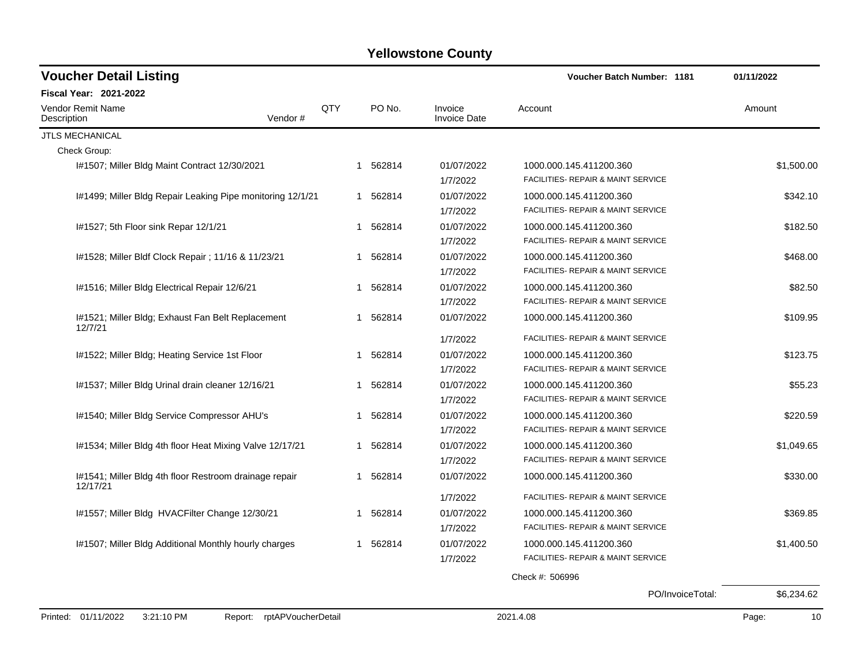| <b>Voucher Detail Listing</b>                                      |                |             |          |                                | <b>Voucher Batch Number: 1181</b>  | 01/11/2022 |
|--------------------------------------------------------------------|----------------|-------------|----------|--------------------------------|------------------------------------|------------|
| <b>Fiscal Year: 2021-2022</b>                                      |                |             |          |                                |                                    |            |
| <b>Vendor Remit Name</b><br>Description                            | QTY<br>Vendor# |             | PO No.   | Invoice<br><b>Invoice Date</b> | Account                            | Amount     |
| JTLS MECHANICAL                                                    |                |             |          |                                |                                    |            |
| Check Group:                                                       |                |             |          |                                |                                    |            |
| 1#1507; Miller Bldg Maint Contract 12/30/2021                      |                | 1           | 562814   | 01/07/2022                     | 1000.000.145.411200.360            | \$1,500.00 |
|                                                                    |                |             |          | 1/7/2022                       | FACILITIES- REPAIR & MAINT SERVICE |            |
| I#1499; Miller Bldg Repair Leaking Pipe monitoring 12/1/21         |                |             | 1 562814 | 01/07/2022                     | 1000.000.145.411200.360            | \$342.10   |
|                                                                    |                |             |          | 1/7/2022                       | FACILITIES- REPAIR & MAINT SERVICE |            |
| I#1527; 5th Floor sink Repar 12/1/21                               |                | $\mathbf 1$ | 562814   | 01/07/2022                     | 1000.000.145.411200.360            | \$182.50   |
|                                                                    |                |             |          | 1/7/2022                       | FACILITIES- REPAIR & MAINT SERVICE |            |
| I#1528; Miller Bldf Clock Repair ; 11/16 & 11/23/21                |                |             | 1 562814 | 01/07/2022                     | 1000.000.145.411200.360            | \$468.00   |
|                                                                    |                |             |          | 1/7/2022                       | FACILITIES- REPAIR & MAINT SERVICE |            |
| I#1516; Miller Bldg Electrical Repair 12/6/21                      |                | 1           | 562814   | 01/07/2022                     | 1000.000.145.411200.360            | \$82.50    |
|                                                                    |                |             |          | 1/7/2022                       | FACILITIES- REPAIR & MAINT SERVICE |            |
| I#1521; Miller Bldg; Exhaust Fan Belt Replacement<br>12/7/21       |                |             | 1 562814 | 01/07/2022                     | 1000.000.145.411200.360            | \$109.95   |
|                                                                    |                |             |          | 1/7/2022                       | FACILITIES- REPAIR & MAINT SERVICE |            |
| I#1522; Miller Bldg; Heating Service 1st Floor                     |                |             | 1 562814 | 01/07/2022                     | 1000.000.145.411200.360            | \$123.75   |
|                                                                    |                |             |          | 1/7/2022                       | FACILITIES- REPAIR & MAINT SERVICE |            |
| I#1537; Miller Bldg Urinal drain cleaner 12/16/21                  |                |             | 1 562814 | 01/07/2022                     | 1000.000.145.411200.360            | \$55.23    |
|                                                                    |                |             |          | 1/7/2022                       | FACILITIES- REPAIR & MAINT SERVICE |            |
| I#1540; Miller Bldg Service Compressor AHU's                       |                | 1           | 562814   | 01/07/2022                     | 1000.000.145.411200.360            | \$220.59   |
|                                                                    |                |             |          | 1/7/2022                       | FACILITIES- REPAIR & MAINT SERVICE |            |
| I#1534; Miller Bldg 4th floor Heat Mixing Valve 12/17/21           |                |             | 1 562814 | 01/07/2022                     | 1000.000.145.411200.360            | \$1,049.65 |
|                                                                    |                |             |          | 1/7/2022                       | FACILITIES- REPAIR & MAINT SERVICE |            |
| I#1541; Miller Bldg 4th floor Restroom drainage repair<br>12/17/21 |                | -1          | 562814   | 01/07/2022                     | 1000.000.145.411200.360            | \$330.00   |
|                                                                    |                |             |          | 1/7/2022                       | FACILITIES- REPAIR & MAINT SERVICE |            |
| I#1557; Miller Bldg HVACFilter Change 12/30/21                     |                | 1           | 562814   | 01/07/2022                     | 1000.000.145.411200.360            | \$369.85   |
|                                                                    |                |             |          | 1/7/2022                       | FACILITIES- REPAIR & MAINT SERVICE |            |
| I#1507; Miller Bldg Additional Monthly hourly charges              |                | 1           | 562814   | 01/07/2022                     | 1000.000.145.411200.360            | \$1,400.50 |
|                                                                    |                |             |          | 1/7/2022                       | FACILITIES- REPAIR & MAINT SERVICE |            |
|                                                                    |                |             |          |                                | Check #: 506996                    |            |
|                                                                    |                |             |          |                                | PO/InvoiceTotal:                   | \$6,234.62 |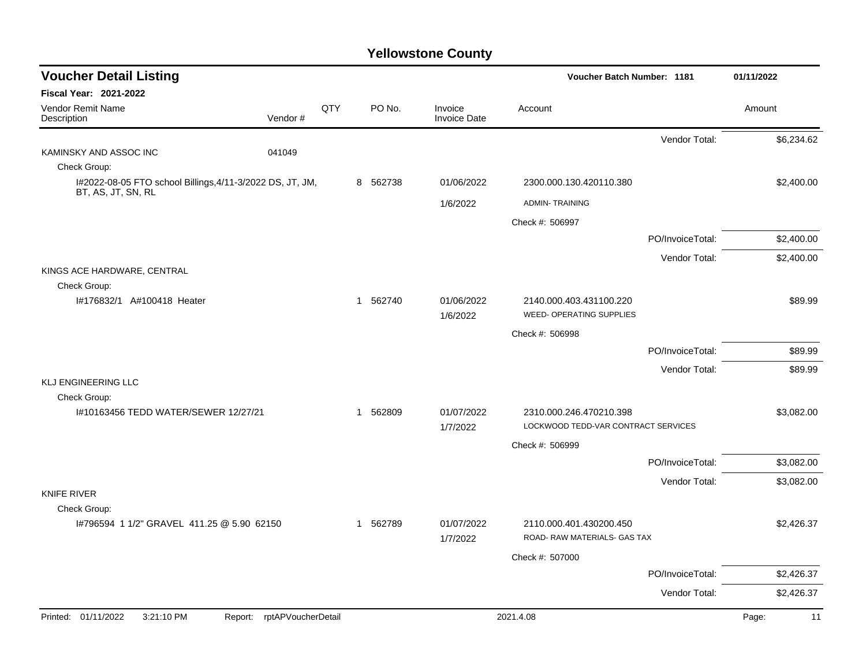| <b>Voucher Detail Listing</b>                                                   |                    |          |                                | <b>Voucher Batch Number: 1181</b>                              |                  | 01/11/2022  |
|---------------------------------------------------------------------------------|--------------------|----------|--------------------------------|----------------------------------------------------------------|------------------|-------------|
| <b>Fiscal Year: 2021-2022</b>                                                   |                    |          |                                |                                                                |                  |             |
| Vendor Remit Name<br>Vendor#<br>Description                                     | QTY                | PO No.   | Invoice<br><b>Invoice Date</b> | Account                                                        |                  | Amount      |
|                                                                                 |                    |          |                                |                                                                | Vendor Total:    | \$6,234.62  |
| 041049<br>KAMINSKY AND ASSOC INC                                                |                    |          |                                |                                                                |                  |             |
| Check Group:                                                                    |                    |          |                                |                                                                |                  |             |
| I#2022-08-05 FTO school Billings, 4/11-3/2022 DS, JT, JM,<br>BT, AS, JT, SN, RL |                    | 8 562738 | 01/06/2022                     | 2300.000.130.420110.380                                        |                  | \$2,400.00  |
|                                                                                 |                    |          | 1/6/2022                       | <b>ADMIN-TRAINING</b>                                          |                  |             |
|                                                                                 |                    |          |                                | Check #: 506997                                                |                  |             |
|                                                                                 |                    |          |                                |                                                                | PO/InvoiceTotal: | \$2,400.00  |
|                                                                                 |                    |          |                                |                                                                | Vendor Total:    | \$2,400.00  |
| KINGS ACE HARDWARE, CENTRAL                                                     |                    |          |                                |                                                                |                  |             |
| Check Group:                                                                    |                    |          |                                |                                                                |                  |             |
| I#176832/1 A#100418 Heater                                                      |                    | 1 562740 | 01/06/2022<br>1/6/2022         | 2140.000.403.431100.220<br><b>WEED- OPERATING SUPPLIES</b>     |                  | \$89.99     |
|                                                                                 |                    |          |                                | Check #: 506998                                                |                  |             |
|                                                                                 |                    |          |                                |                                                                | PO/InvoiceTotal: | \$89.99     |
|                                                                                 |                    |          |                                |                                                                | Vendor Total:    | \$89.99     |
| KLJ ENGINEERING LLC                                                             |                    |          |                                |                                                                |                  |             |
| Check Group:                                                                    |                    |          |                                |                                                                |                  |             |
| 1#10163456 TEDD WATER/SEWER 12/27/21                                            |                    | 1 562809 | 01/07/2022<br>1/7/2022         | 2310.000.246.470210.398<br>LOCKWOOD TEDD-VAR CONTRACT SERVICES |                  | \$3,082.00  |
|                                                                                 |                    |          |                                | Check #: 506999                                                |                  |             |
|                                                                                 |                    |          |                                |                                                                | PO/InvoiceTotal: | \$3,082.00  |
|                                                                                 |                    |          |                                |                                                                | Vendor Total:    | \$3,082.00  |
| <b>KNIFE RIVER</b>                                                              |                    |          |                                |                                                                |                  |             |
| Check Group:                                                                    |                    |          |                                |                                                                |                  |             |
| I#796594 1 1/2" GRAVEL 411.25 @ 5.90 62150                                      |                    | 1 562789 | 01/07/2022<br>1/7/2022         | 2110.000.401.430200.450<br>ROAD- RAW MATERIALS- GAS TAX        |                  | \$2,426.37  |
|                                                                                 |                    |          |                                | Check #: 507000                                                |                  |             |
|                                                                                 |                    |          |                                |                                                                | PO/InvoiceTotal: | \$2,426.37  |
|                                                                                 |                    |          |                                |                                                                | Vendor Total:    | \$2,426.37  |
| Printed: 01/11/2022<br>3:21:10 PM<br>Report:                                    | rptAPVoucherDetail |          |                                | 2021.4.08                                                      |                  | 11<br>Page: |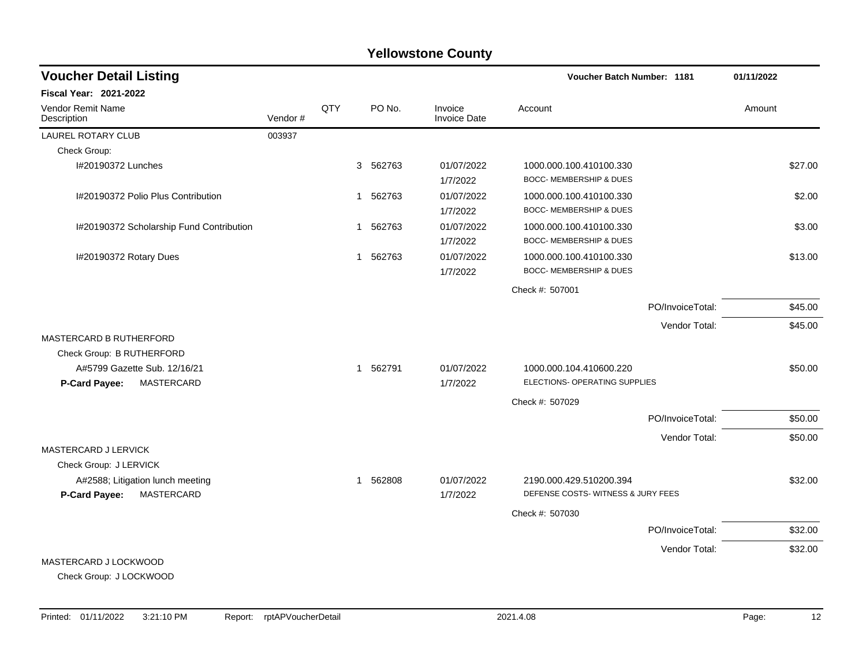| <b>Voucher Detail Listing</b>                                   | Voucher Batch Number: 1181 | 01/11/2022 |             |                                |                                                               |         |
|-----------------------------------------------------------------|----------------------------|------------|-------------|--------------------------------|---------------------------------------------------------------|---------|
| Fiscal Year: 2021-2022                                          |                            |            |             |                                |                                                               |         |
| Vendor Remit Name<br>Description                                | Vendor#                    | QTY        | PO No.      | Invoice<br><b>Invoice Date</b> | Account                                                       | Amount  |
| <b>LAUREL ROTARY CLUB</b>                                       | 003937                     |            |             |                                |                                                               |         |
| Check Group:                                                    |                            |            |             |                                |                                                               |         |
| I#20190372 Lunches                                              |                            |            | 3<br>562763 | 01/07/2022<br>1/7/2022         | 1000.000.100.410100.330<br><b>BOCC- MEMBERSHIP &amp; DUES</b> | \$27.00 |
| I#20190372 Polio Plus Contribution                              |                            |            | 1 562763    | 01/07/2022<br>1/7/2022         | 1000.000.100.410100.330<br><b>BOCC- MEMBERSHIP &amp; DUES</b> | \$2.00  |
| I#20190372 Scholarship Fund Contribution                        |                            |            | 1 562763    | 01/07/2022<br>1/7/2022         | 1000.000.100.410100.330<br>BOCC- MEMBERSHIP & DUES            | \$3.00  |
| I#20190372 Rotary Dues                                          |                            |            | 1 562763    | 01/07/2022<br>1/7/2022         | 1000.000.100.410100.330<br><b>BOCC- MEMBERSHIP &amp; DUES</b> | \$13.00 |
|                                                                 |                            |            |             |                                | Check #: 507001                                               |         |
|                                                                 |                            |            |             |                                | PO/InvoiceTotal:                                              | \$45.00 |
|                                                                 |                            |            |             |                                | Vendor Total:                                                 | \$45.00 |
| <b>MASTERCARD B RUTHERFORD</b>                                  |                            |            |             |                                |                                                               |         |
| Check Group: B RUTHERFORD                                       |                            |            |             |                                |                                                               |         |
| A#5799 Gazette Sub. 12/16/21<br>MASTERCARD<br>P-Card Payee:     |                            |            | 1 562791    | 01/07/2022<br>1/7/2022         | 1000.000.104.410600.220<br>ELECTIONS- OPERATING SUPPLIES      | \$50.00 |
|                                                                 |                            |            |             |                                | Check #: 507029                                               |         |
|                                                                 |                            |            |             |                                | PO/InvoiceTotal:                                              | \$50.00 |
|                                                                 |                            |            |             |                                | Vendor Total:                                                 | \$50.00 |
| <b>MASTERCARD J LERVICK</b>                                     |                            |            |             |                                |                                                               |         |
| Check Group: J LERVICK                                          |                            |            |             |                                |                                                               |         |
| A#2588; Litigation lunch meeting<br>P-Card Payee:<br>MASTERCARD |                            |            | 1 562808    | 01/07/2022<br>1/7/2022         | 2190.000.429.510200.394<br>DEFENSE COSTS-WITNESS & JURY FEES  | \$32.00 |
|                                                                 |                            |            |             |                                | Check #: 507030                                               |         |
|                                                                 |                            |            |             |                                | PO/InvoiceTotal:                                              | \$32.00 |
|                                                                 |                            |            |             |                                | Vendor Total:                                                 | \$32.00 |
| MASTERCARD J LOCKWOOD                                           |                            |            |             |                                |                                                               |         |

Check Group: J LOCKWOOD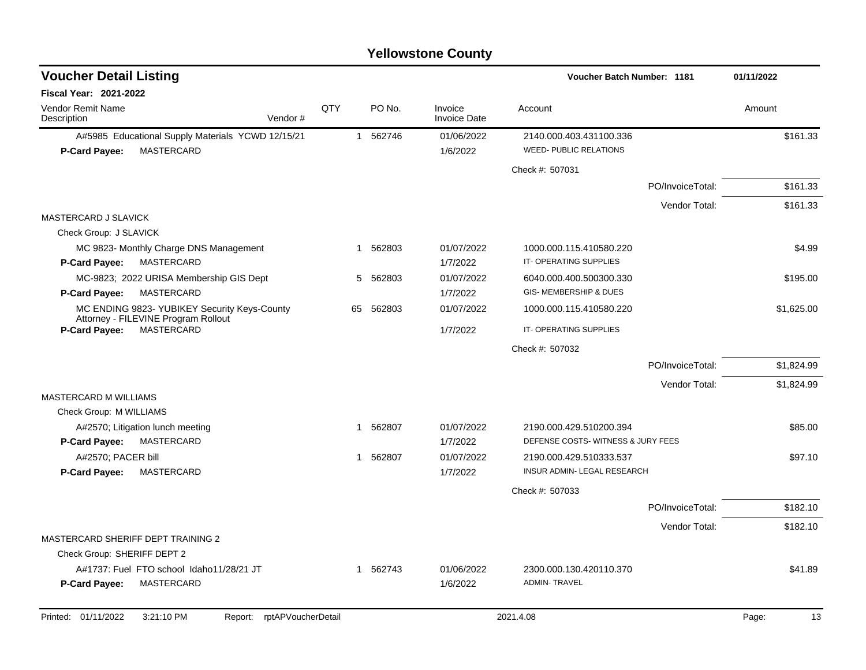| QTY<br>PO No.<br>Invoice<br>Account<br>Amount<br>Vendor#<br><b>Invoice Date</b><br>1 562746<br>A#5985 Educational Supply Materials YCWD 12/15/21<br>01/06/2022<br>2140.000.403.431100.336<br>\$161.33<br><b>MASTERCARD</b><br><b>WEED- PUBLIC RELATIONS</b><br><b>P-Card Payee:</b><br>1/6/2022<br>Check #: 507031<br>\$161.33<br>PO/InvoiceTotal:<br>Vendor Total:<br>\$161.33<br>Check Group: J SLAVICK<br>1 562803<br>01/07/2022<br>1000.000.115.410580.220<br>\$4.99<br>MC 9823- Monthly Charge DNS Management<br>IT-OPERATING SUPPLIES<br>MASTERCARD<br><b>P-Card Payee:</b><br>1/7/2022<br>5 562803<br>01/07/2022<br>\$195.00<br>MC-9823; 2022 URISA Membership GIS Dept<br>6040.000.400.500300.330<br><b>MASTERCARD</b><br>GIS-MEMBERSHIP & DUES<br>P-Card Payee:<br>1/7/2022<br>MC ENDING 9823- YUBIKEY Security Keys-County<br>562803<br>01/07/2022<br>\$1,625.00<br>65<br>1000.000.115.410580.220<br>Attorney - FILEVINE Program Rollout<br><b>MASTERCARD</b><br>IT-OPERATING SUPPLIES<br><b>P-Card Payee:</b><br>1/7/2022<br>Check #: 507032<br>PO/InvoiceTotal:<br>\$1,824.99<br>Vendor Total:<br>\$1,824.99<br>Check Group: M WILLIAMS<br>\$85.00<br>1 562807<br>01/07/2022<br>2190.000.429.510200.394<br>A#2570; Litigation lunch meeting<br>DEFENSE COSTS-WITNESS & JURY FEES<br>MASTERCARD<br>1/7/2022<br>P-Card Payee:<br>A#2570; PACER bill<br>562807<br>01/07/2022<br>\$97.10<br>2190.000.429.510333.537<br>$\mathbf{1}$<br><b>P-Card Payee:</b><br><b>MASTERCARD</b><br>1/7/2022<br>INSUR ADMIN- LEGAL RESEARCH<br>Check #: 507033<br>\$182.10<br>PO/InvoiceTotal:<br>Vendor Total:<br>\$182.10<br>MASTERCARD SHERIFF DEPT TRAINING 2<br>Check Group: SHERIFF DEPT 2<br>\$41.89<br>A#1737: Fuel FTO school Idaho11/28/21 JT<br>1 562743<br>01/06/2022<br>2300.000.130.420110.370<br>P-Card Payee:<br>MASTERCARD<br>1/6/2022<br><b>ADMIN-TRAVEL</b> | <b>Voucher Detail Listing</b>    |  |  | <b>Voucher Batch Number: 1181</b> | 01/11/2022 |
|------------------------------------------------------------------------------------------------------------------------------------------------------------------------------------------------------------------------------------------------------------------------------------------------------------------------------------------------------------------------------------------------------------------------------------------------------------------------------------------------------------------------------------------------------------------------------------------------------------------------------------------------------------------------------------------------------------------------------------------------------------------------------------------------------------------------------------------------------------------------------------------------------------------------------------------------------------------------------------------------------------------------------------------------------------------------------------------------------------------------------------------------------------------------------------------------------------------------------------------------------------------------------------------------------------------------------------------------------------------------------------------------------------------------------------------------------------------------------------------------------------------------------------------------------------------------------------------------------------------------------------------------------------------------------------------------------------------------------------------------------------------------------------------------------------------------------------------------------------------------|----------------------------------|--|--|-----------------------------------|------------|
|                                                                                                                                                                                                                                                                                                                                                                                                                                                                                                                                                                                                                                                                                                                                                                                                                                                                                                                                                                                                                                                                                                                                                                                                                                                                                                                                                                                                                                                                                                                                                                                                                                                                                                                                                                                                                                                                        | Fiscal Year: 2021-2022           |  |  |                                   |            |
|                                                                                                                                                                                                                                                                                                                                                                                                                                                                                                                                                                                                                                                                                                                                                                                                                                                                                                                                                                                                                                                                                                                                                                                                                                                                                                                                                                                                                                                                                                                                                                                                                                                                                                                                                                                                                                                                        | Vendor Remit Name<br>Description |  |  |                                   |            |
|                                                                                                                                                                                                                                                                                                                                                                                                                                                                                                                                                                                                                                                                                                                                                                                                                                                                                                                                                                                                                                                                                                                                                                                                                                                                                                                                                                                                                                                                                                                                                                                                                                                                                                                                                                                                                                                                        |                                  |  |  |                                   |            |
|                                                                                                                                                                                                                                                                                                                                                                                                                                                                                                                                                                                                                                                                                                                                                                                                                                                                                                                                                                                                                                                                                                                                                                                                                                                                                                                                                                                                                                                                                                                                                                                                                                                                                                                                                                                                                                                                        |                                  |  |  |                                   |            |
|                                                                                                                                                                                                                                                                                                                                                                                                                                                                                                                                                                                                                                                                                                                                                                                                                                                                                                                                                                                                                                                                                                                                                                                                                                                                                                                                                                                                                                                                                                                                                                                                                                                                                                                                                                                                                                                                        |                                  |  |  |                                   |            |
|                                                                                                                                                                                                                                                                                                                                                                                                                                                                                                                                                                                                                                                                                                                                                                                                                                                                                                                                                                                                                                                                                                                                                                                                                                                                                                                                                                                                                                                                                                                                                                                                                                                                                                                                                                                                                                                                        |                                  |  |  |                                   |            |
|                                                                                                                                                                                                                                                                                                                                                                                                                                                                                                                                                                                                                                                                                                                                                                                                                                                                                                                                                                                                                                                                                                                                                                                                                                                                                                                                                                                                                                                                                                                                                                                                                                                                                                                                                                                                                                                                        |                                  |  |  |                                   |            |
|                                                                                                                                                                                                                                                                                                                                                                                                                                                                                                                                                                                                                                                                                                                                                                                                                                                                                                                                                                                                                                                                                                                                                                                                                                                                                                                                                                                                                                                                                                                                                                                                                                                                                                                                                                                                                                                                        | MASTERCARD J SLAVICK             |  |  |                                   |            |
|                                                                                                                                                                                                                                                                                                                                                                                                                                                                                                                                                                                                                                                                                                                                                                                                                                                                                                                                                                                                                                                                                                                                                                                                                                                                                                                                                                                                                                                                                                                                                                                                                                                                                                                                                                                                                                                                        |                                  |  |  |                                   |            |
|                                                                                                                                                                                                                                                                                                                                                                                                                                                                                                                                                                                                                                                                                                                                                                                                                                                                                                                                                                                                                                                                                                                                                                                                                                                                                                                                                                                                                                                                                                                                                                                                                                                                                                                                                                                                                                                                        |                                  |  |  |                                   |            |
|                                                                                                                                                                                                                                                                                                                                                                                                                                                                                                                                                                                                                                                                                                                                                                                                                                                                                                                                                                                                                                                                                                                                                                                                                                                                                                                                                                                                                                                                                                                                                                                                                                                                                                                                                                                                                                                                        |                                  |  |  |                                   |            |
|                                                                                                                                                                                                                                                                                                                                                                                                                                                                                                                                                                                                                                                                                                                                                                                                                                                                                                                                                                                                                                                                                                                                                                                                                                                                                                                                                                                                                                                                                                                                                                                                                                                                                                                                                                                                                                                                        |                                  |  |  |                                   |            |
|                                                                                                                                                                                                                                                                                                                                                                                                                                                                                                                                                                                                                                                                                                                                                                                                                                                                                                                                                                                                                                                                                                                                                                                                                                                                                                                                                                                                                                                                                                                                                                                                                                                                                                                                                                                                                                                                        |                                  |  |  |                                   |            |
|                                                                                                                                                                                                                                                                                                                                                                                                                                                                                                                                                                                                                                                                                                                                                                                                                                                                                                                                                                                                                                                                                                                                                                                                                                                                                                                                                                                                                                                                                                                                                                                                                                                                                                                                                                                                                                                                        |                                  |  |  |                                   |            |
|                                                                                                                                                                                                                                                                                                                                                                                                                                                                                                                                                                                                                                                                                                                                                                                                                                                                                                                                                                                                                                                                                                                                                                                                                                                                                                                                                                                                                                                                                                                                                                                                                                                                                                                                                                                                                                                                        |                                  |  |  |                                   |            |
|                                                                                                                                                                                                                                                                                                                                                                                                                                                                                                                                                                                                                                                                                                                                                                                                                                                                                                                                                                                                                                                                                                                                                                                                                                                                                                                                                                                                                                                                                                                                                                                                                                                                                                                                                                                                                                                                        |                                  |  |  |                                   |            |
|                                                                                                                                                                                                                                                                                                                                                                                                                                                                                                                                                                                                                                                                                                                                                                                                                                                                                                                                                                                                                                                                                                                                                                                                                                                                                                                                                                                                                                                                                                                                                                                                                                                                                                                                                                                                                                                                        |                                  |  |  |                                   |            |
|                                                                                                                                                                                                                                                                                                                                                                                                                                                                                                                                                                                                                                                                                                                                                                                                                                                                                                                                                                                                                                                                                                                                                                                                                                                                                                                                                                                                                                                                                                                                                                                                                                                                                                                                                                                                                                                                        | MASTERCARD M WILLIAMS            |  |  |                                   |            |
|                                                                                                                                                                                                                                                                                                                                                                                                                                                                                                                                                                                                                                                                                                                                                                                                                                                                                                                                                                                                                                                                                                                                                                                                                                                                                                                                                                                                                                                                                                                                                                                                                                                                                                                                                                                                                                                                        |                                  |  |  |                                   |            |
|                                                                                                                                                                                                                                                                                                                                                                                                                                                                                                                                                                                                                                                                                                                                                                                                                                                                                                                                                                                                                                                                                                                                                                                                                                                                                                                                                                                                                                                                                                                                                                                                                                                                                                                                                                                                                                                                        |                                  |  |  |                                   |            |
|                                                                                                                                                                                                                                                                                                                                                                                                                                                                                                                                                                                                                                                                                                                                                                                                                                                                                                                                                                                                                                                                                                                                                                                                                                                                                                                                                                                                                                                                                                                                                                                                                                                                                                                                                                                                                                                                        |                                  |  |  |                                   |            |
|                                                                                                                                                                                                                                                                                                                                                                                                                                                                                                                                                                                                                                                                                                                                                                                                                                                                                                                                                                                                                                                                                                                                                                                                                                                                                                                                                                                                                                                                                                                                                                                                                                                                                                                                                                                                                                                                        |                                  |  |  |                                   |            |
|                                                                                                                                                                                                                                                                                                                                                                                                                                                                                                                                                                                                                                                                                                                                                                                                                                                                                                                                                                                                                                                                                                                                                                                                                                                                                                                                                                                                                                                                                                                                                                                                                                                                                                                                                                                                                                                                        |                                  |  |  |                                   |            |
|                                                                                                                                                                                                                                                                                                                                                                                                                                                                                                                                                                                                                                                                                                                                                                                                                                                                                                                                                                                                                                                                                                                                                                                                                                                                                                                                                                                                                                                                                                                                                                                                                                                                                                                                                                                                                                                                        |                                  |  |  |                                   |            |
|                                                                                                                                                                                                                                                                                                                                                                                                                                                                                                                                                                                                                                                                                                                                                                                                                                                                                                                                                                                                                                                                                                                                                                                                                                                                                                                                                                                                                                                                                                                                                                                                                                                                                                                                                                                                                                                                        |                                  |  |  |                                   |            |
|                                                                                                                                                                                                                                                                                                                                                                                                                                                                                                                                                                                                                                                                                                                                                                                                                                                                                                                                                                                                                                                                                                                                                                                                                                                                                                                                                                                                                                                                                                                                                                                                                                                                                                                                                                                                                                                                        |                                  |  |  |                                   |            |
|                                                                                                                                                                                                                                                                                                                                                                                                                                                                                                                                                                                                                                                                                                                                                                                                                                                                                                                                                                                                                                                                                                                                                                                                                                                                                                                                                                                                                                                                                                                                                                                                                                                                                                                                                                                                                                                                        |                                  |  |  |                                   |            |
|                                                                                                                                                                                                                                                                                                                                                                                                                                                                                                                                                                                                                                                                                                                                                                                                                                                                                                                                                                                                                                                                                                                                                                                                                                                                                                                                                                                                                                                                                                                                                                                                                                                                                                                                                                                                                                                                        |                                  |  |  |                                   |            |
|                                                                                                                                                                                                                                                                                                                                                                                                                                                                                                                                                                                                                                                                                                                                                                                                                                                                                                                                                                                                                                                                                                                                                                                                                                                                                                                                                                                                                                                                                                                                                                                                                                                                                                                                                                                                                                                                        |                                  |  |  |                                   |            |
|                                                                                                                                                                                                                                                                                                                                                                                                                                                                                                                                                                                                                                                                                                                                                                                                                                                                                                                                                                                                                                                                                                                                                                                                                                                                                                                                                                                                                                                                                                                                                                                                                                                                                                                                                                                                                                                                        |                                  |  |  |                                   |            |
| 3:21:10 PM<br>rptAPVoucherDetail<br>2021.4.08<br>13<br>Page:<br>Report:                                                                                                                                                                                                                                                                                                                                                                                                                                                                                                                                                                                                                                                                                                                                                                                                                                                                                                                                                                                                                                                                                                                                                                                                                                                                                                                                                                                                                                                                                                                                                                                                                                                                                                                                                                                                | Printed: 01/11/2022              |  |  |                                   |            |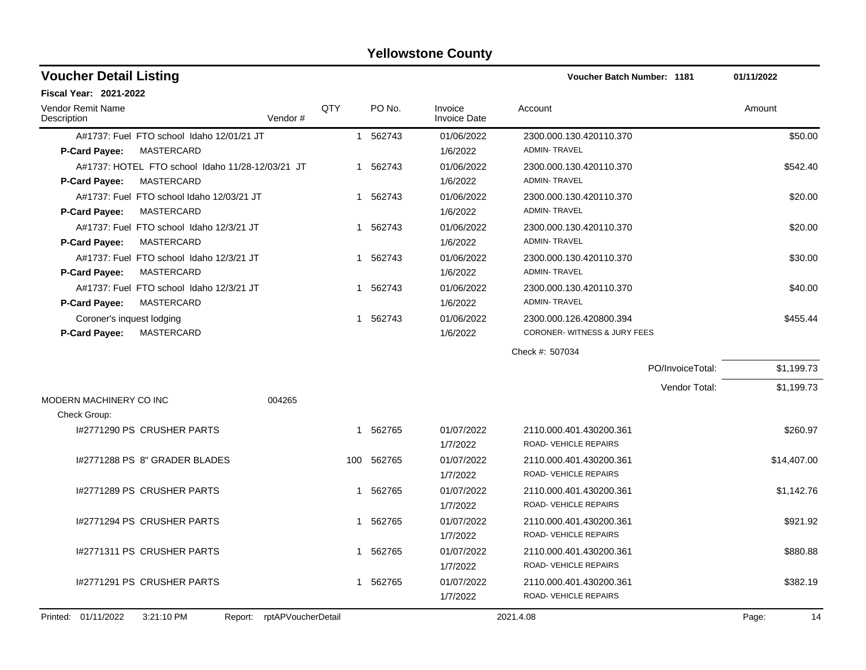| <b>Voucher Detail Listing</b>                                                                 |                               |            |          |                                | <b>Voucher Batch Number: 1181</b>                       |                  | 01/11/2022  |
|-----------------------------------------------------------------------------------------------|-------------------------------|------------|----------|--------------------------------|---------------------------------------------------------|------------------|-------------|
| <b>Fiscal Year: 2021-2022</b>                                                                 |                               |            |          |                                |                                                         |                  |             |
| Vendor Remit Name<br>Description                                                              | Vendor#                       | <b>OTY</b> | PO No.   | Invoice<br><b>Invoice Date</b> | Account                                                 |                  | Amount      |
| A#1737: Fuel FTO school Idaho 12/01/21 JT                                                     |                               |            | 1 562743 | 01/06/2022                     | 2300.000.130.420110.370                                 |                  | \$50.00     |
| <b>MASTERCARD</b><br>P-Card Payee:                                                            |                               |            |          | 1/6/2022                       | <b>ADMIN-TRAVEL</b>                                     |                  |             |
| A#1737: HOTEL FTO school Idaho 11/28-12/03/21 JT<br><b>MASTERCARD</b><br><b>P-Card Payee:</b> |                               |            | 1 562743 | 01/06/2022<br>1/6/2022         | 2300.000.130.420110.370<br><b>ADMIN-TRAVEL</b>          |                  | \$542.40    |
| A#1737: Fuel FTO school Idaho 12/03/21 JT<br>P-Card Payee:<br><b>MASTERCARD</b>               |                               |            | 1 562743 | 01/06/2022<br>1/6/2022         | 2300.000.130.420110.370<br><b>ADMIN-TRAVEL</b>          |                  | \$20.00     |
| A#1737: Fuel FTO school Idaho 12/3/21 JT<br><b>MASTERCARD</b><br><b>P-Card Payee:</b>         |                               |            | 1 562743 | 01/06/2022<br>1/6/2022         | 2300.000.130.420110.370<br><b>ADMIN-TRAVEL</b>          |                  | \$20.00     |
| A#1737: Fuel FTO school Idaho 12/3/21 JT<br><b>MASTERCARD</b><br>P-Card Payee:                |                               | 1          | 562743   | 01/06/2022<br>1/6/2022         | 2300.000.130.420110.370<br><b>ADMIN-TRAVEL</b>          |                  | \$30.00     |
| A#1737: Fuel FTO school Idaho 12/3/21 JT<br><b>MASTERCARD</b><br>P-Card Payee:                |                               |            | 1 562743 | 01/06/2022<br>1/6/2022         | 2300.000.130.420110.370<br><b>ADMIN-TRAVEL</b>          |                  | \$40.00     |
| Coroner's inquest lodging<br><b>P-Card Payee:</b><br><b>MASTERCARD</b>                        |                               | 1          | 562743   | 01/06/2022<br>1/6/2022         | 2300.000.126.420800.394<br>CORONER-WITNESS & JURY FEES  |                  | \$455.44    |
|                                                                                               |                               |            |          |                                | Check #: 507034                                         |                  |             |
|                                                                                               |                               |            |          |                                |                                                         | PO/InvoiceTotal: | \$1,199.73  |
|                                                                                               |                               |            |          |                                |                                                         | Vendor Total:    | \$1,199.73  |
| MODERN MACHINERY CO INC<br>Check Group:                                                       | 004265                        |            |          |                                |                                                         |                  |             |
| I#2771290 PS CRUSHER PARTS                                                                    |                               | -1         | 562765   | 01/07/2022<br>1/7/2022         | 2110.000.401.430200.361<br><b>ROAD- VEHICLE REPAIRS</b> |                  | \$260.97    |
| 1#2771288 PS 8" GRADER BLADES                                                                 |                               | 100        | 562765   | 01/07/2022<br>1/7/2022         | 2110.000.401.430200.361<br>ROAD- VEHICLE REPAIRS        |                  | \$14,407.00 |
| 1#2771289 PS CRUSHER PARTS                                                                    |                               |            | 1 562765 | 01/07/2022<br>1/7/2022         | 2110.000.401.430200.361<br>ROAD-VEHICLE REPAIRS         |                  | \$1,142.76  |
| 1#2771294 PS CRUSHER PARTS                                                                    |                               |            | 1 562765 | 01/07/2022<br>1/7/2022         | 2110.000.401.430200.361<br>ROAD- VEHICLE REPAIRS        |                  | \$921.92    |
| I#2771311 PS CRUSHER PARTS                                                                    |                               |            | 1 562765 | 01/07/2022<br>1/7/2022         | 2110.000.401.430200.361<br>ROAD-VEHICLE REPAIRS         |                  | \$880.88    |
| I#2771291 PS CRUSHER PARTS                                                                    |                               |            | 1 562765 | 01/07/2022<br>1/7/2022         | 2110.000.401.430200.361<br>ROAD- VEHICLE REPAIRS        |                  | \$382.19    |
| Printed: 01/11/2022<br>3:21:10 PM                                                             | rptAPVoucherDetail<br>Report: |            |          |                                | 2021.4.08                                               |                  | Page:<br>14 |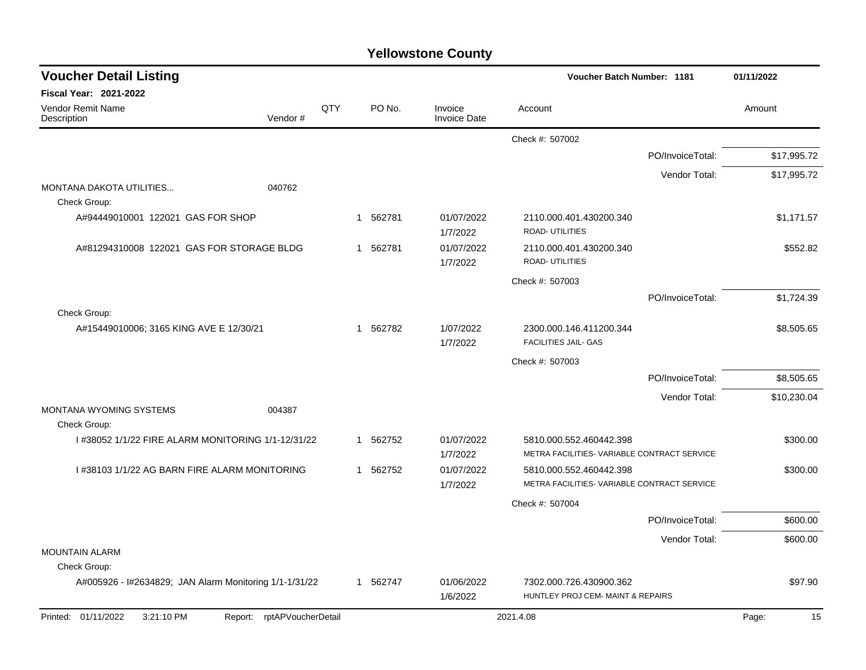| <b>Voucher Detail Listing</b>                           |                               |     |                        |                                |                                                                        | Voucher Batch Number: 1181 |             |
|---------------------------------------------------------|-------------------------------|-----|------------------------|--------------------------------|------------------------------------------------------------------------|----------------------------|-------------|
| <b>Fiscal Year: 2021-2022</b>                           |                               |     |                        |                                |                                                                        |                            |             |
| Vendor Remit Name<br>Description                        | Vendor#                       | QTY | PO No.                 | Invoice<br><b>Invoice Date</b> | Account                                                                |                            | Amount      |
|                                                         |                               |     |                        |                                | Check #: 507002                                                        |                            |             |
|                                                         |                               |     |                        |                                |                                                                        | PO/InvoiceTotal:           | \$17,995.72 |
|                                                         |                               |     |                        |                                |                                                                        | Vendor Total:              | \$17,995.72 |
| <b>MONTANA DAKOTA UTILITIES</b><br>Check Group:         | 040762                        |     |                        |                                |                                                                        |                            |             |
| A#94449010001 122021 GAS FOR SHOP                       |                               |     | 1 562781               | 01/07/2022<br>1/7/2022         | 2110.000.401.430200.340<br>ROAD- UTILITIES                             |                            | \$1,171.57  |
| A#81294310008 122021 GAS FOR STORAGE BLDG               |                               |     | 1 562781               | 01/07/2022<br>1/7/2022         | 2110.000.401.430200.340<br>ROAD- UTILITIES                             |                            | \$552.82    |
|                                                         |                               |     |                        |                                | Check #: 507003                                                        |                            |             |
|                                                         |                               |     |                        |                                |                                                                        | PO/InvoiceTotal:           | \$1,724.39  |
| Check Group:<br>A#15449010006; 3165 KING AVE E 12/30/21 |                               |     | 1 562782               | 1/07/2022<br>1/7/2022          | 2300.000.146.411200.344<br><b>FACILITIES JAIL- GAS</b>                 |                            | \$8,505.65  |
|                                                         |                               |     |                        |                                | Check #: 507003                                                        |                            |             |
|                                                         |                               |     |                        |                                |                                                                        | PO/InvoiceTotal:           | \$8,505.65  |
|                                                         |                               |     |                        |                                |                                                                        | Vendor Total:              | \$10,230.04 |
| <b>MONTANA WYOMING SYSTEMS</b><br>Check Group:          | 004387                        |     |                        |                                |                                                                        |                            |             |
| 1#38052 1/1/22 FIRE ALARM MONITORING 1/1-12/31/22       |                               |     | 562752<br>$\mathbf{1}$ | 01/07/2022<br>1/7/2022         | 5810.000.552.460442.398<br>METRA FACILITIES- VARIABLE CONTRACT SERVICE |                            | \$300.00    |
| I #38103 1/1/22 AG BARN FIRE ALARM MONITORING           |                               |     | 562752<br>$\mathbf{1}$ | 01/07/2022<br>1/7/2022         | 5810.000.552.460442.398<br>METRA FACILITIES- VARIABLE CONTRACT SERVICE |                            | \$300.00    |
|                                                         |                               |     |                        |                                | Check #: 507004                                                        |                            |             |
|                                                         |                               |     |                        |                                |                                                                        | PO/InvoiceTotal:           | \$600.00    |
|                                                         |                               |     |                        |                                |                                                                        | Vendor Total:              | \$600.00    |
| <b>MOUNTAIN ALARM</b><br>Check Group:                   |                               |     |                        |                                |                                                                        |                            |             |
| A#005926 - I#2634829; JAN Alarm Monitoring 1/1-1/31/22  |                               |     | 1 562747               | 01/06/2022<br>1/6/2022         | 7302.000.726.430900.362<br>HUNTLEY PROJ CEM- MAINT & REPAIRS           |                            | \$97.90     |
| Printed: 01/11/2022<br>3:21:10 PM                       | rptAPVoucherDetail<br>Report: |     |                        |                                | 2021.4.08                                                              |                            | Page:<br>15 |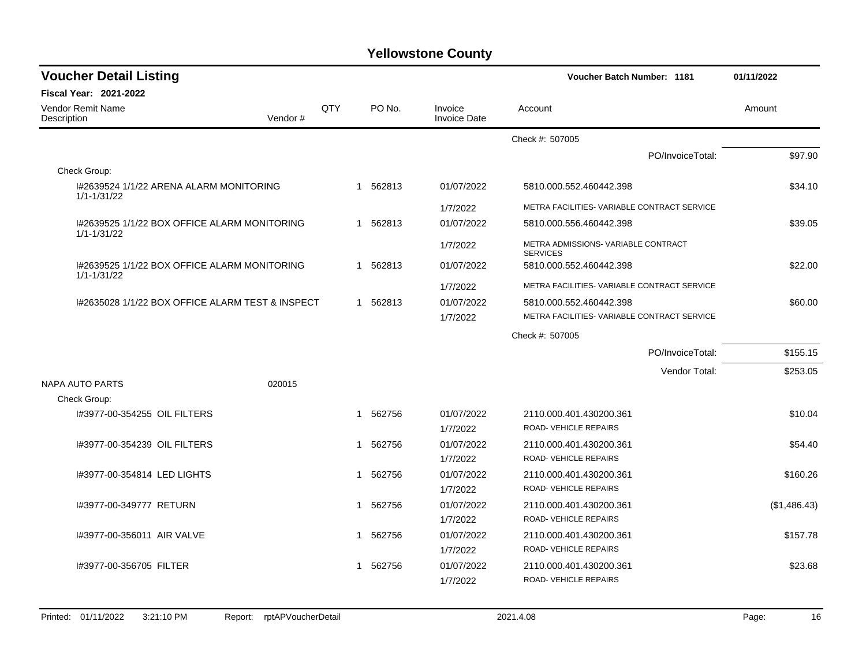| <b>Voucher Detail Listing</b>                                   |     |   |          |                                | <b>Voucher Batch Number: 1181</b>                       | 01/11/2022   |
|-----------------------------------------------------------------|-----|---|----------|--------------------------------|---------------------------------------------------------|--------------|
| <b>Fiscal Year: 2021-2022</b>                                   |     |   |          |                                |                                                         |              |
| Vendor Remit Name<br>Description<br>Vendor#                     | QTY |   | PO No.   | Invoice<br><b>Invoice Date</b> | Account                                                 | Amount       |
|                                                                 |     |   |          |                                | Check #: 507005                                         |              |
|                                                                 |     |   |          |                                | PO/InvoiceTotal:                                        | \$97.90      |
| Check Group:                                                    |     |   |          |                                |                                                         |              |
| 1#2639524 1/1/22 ARENA ALARM MONITORING<br>$1/1 - 1/31/22$      |     |   | 1 562813 | 01/07/2022                     | 5810.000.552.460442.398                                 | \$34.10      |
|                                                                 |     |   |          | 1/7/2022                       | METRA FACILITIES- VARIABLE CONTRACT SERVICE             |              |
| 1#2639525 1/1/22 BOX OFFICE ALARM MONITORING<br>1/1-1/31/22     |     |   | 1 562813 | 01/07/2022                     | 5810.000.556.460442.398                                 | \$39.05      |
|                                                                 |     |   |          | 1/7/2022                       | METRA ADMISSIONS- VARIABLE CONTRACT<br><b>SERVICES</b>  |              |
| 1#2639525 1/1/22 BOX OFFICE ALARM MONITORING<br>$1/1 - 1/31/22$ |     |   | 1 562813 | 01/07/2022                     | 5810.000.552.460442.398                                 | \$22.00      |
|                                                                 |     |   |          | 1/7/2022                       | METRA FACILITIES- VARIABLE CONTRACT SERVICE             |              |
| 1#2635028 1/1/22 BOX OFFICE ALARM TEST & INSPECT                |     |   | 1 562813 | 01/07/2022                     | 5810.000.552.460442.398                                 | \$60.00      |
|                                                                 |     |   |          | 1/7/2022                       | METRA FACILITIES- VARIABLE CONTRACT SERVICE             |              |
|                                                                 |     |   |          |                                | Check #: 507005                                         |              |
|                                                                 |     |   |          |                                | PO/InvoiceTotal:                                        | \$155.15     |
|                                                                 |     |   |          |                                | Vendor Total:                                           | \$253.05     |
| <b>NAPA AUTO PARTS</b><br>020015                                |     |   |          |                                |                                                         |              |
| Check Group:                                                    |     |   |          |                                |                                                         |              |
| 1#3977-00-354255 OIL FILTERS                                    |     |   | 1 562756 | 01/07/2022<br>1/7/2022         | 2110.000.401.430200.361<br><b>ROAD- VEHICLE REPAIRS</b> | \$10.04      |
| 1#3977-00-354239 OIL FILTERS                                    |     | 1 | 562756   | 01/07/2022                     | 2110.000.401.430200.361                                 | \$54.40      |
|                                                                 |     |   |          | 1/7/2022                       | ROAD-VEHICLE REPAIRS                                    |              |
| 1#3977-00-354814 LED LIGHTS                                     |     | 1 | 562756   | 01/07/2022<br>1/7/2022         | 2110.000.401.430200.361<br><b>ROAD- VEHICLE REPAIRS</b> | \$160.26     |
| I#3977-00-349777 RETURN                                         |     |   | 1 562756 | 01/07/2022                     | 2110.000.401.430200.361                                 | (\$1,486.43) |
|                                                                 |     |   |          | 1/7/2022                       | <b>ROAD- VEHICLE REPAIRS</b>                            |              |
| 1#3977-00-356011 AIR VALVE                                      |     | 1 | 562756   | 01/07/2022                     | 2110.000.401.430200.361                                 | \$157.78     |
|                                                                 |     |   |          | 1/7/2022                       | ROAD-VEHICLE REPAIRS                                    |              |
| 1#3977-00-356705 FILTER                                         |     | 1 | 562756   | 01/07/2022                     | 2110.000.401.430200.361                                 | \$23.68      |
|                                                                 |     |   |          | 1/7/2022                       | <b>ROAD- VEHICLE REPAIRS</b>                            |              |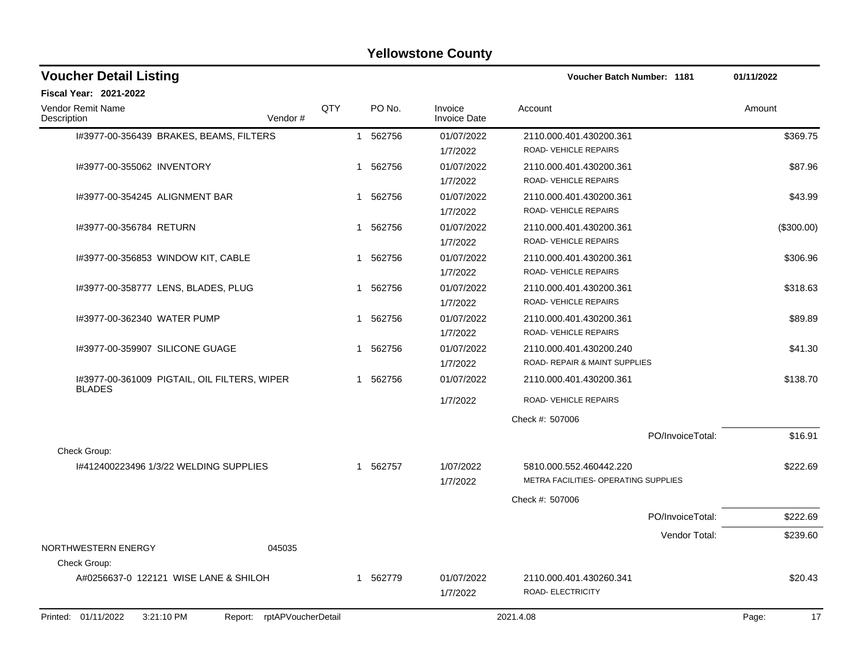| <b>Voucher Detail Listing</b>                                   |     |             |                                | <b>Voucher Batch Number: 1181</b>                               |                  | 01/11/2022  |
|-----------------------------------------------------------------|-----|-------------|--------------------------------|-----------------------------------------------------------------|------------------|-------------|
| <b>Fiscal Year: 2021-2022</b>                                   |     |             |                                |                                                                 |                  |             |
| <b>Vendor Remit Name</b><br>Description<br>Vendor#              | QTY | PO No.      | Invoice<br><b>Invoice Date</b> | Account                                                         |                  | Amount      |
| I#3977-00-356439 BRAKES, BEAMS, FILTERS                         |     | 1 562756    | 01/07/2022<br>1/7/2022         | 2110.000.401.430200.361<br>ROAD-VEHICLE REPAIRS                 |                  | \$369.75    |
| I#3977-00-355062 INVENTORY                                      |     | 1 562756    | 01/07/2022<br>1/7/2022         | 2110.000.401.430200.361<br>ROAD-VEHICLE REPAIRS                 |                  | \$87.96     |
| 1#3977-00-354245 ALIGNMENT BAR                                  |     | 1 562756    | 01/07/2022<br>1/7/2022         | 2110.000.401.430200.361<br>ROAD-VEHICLE REPAIRS                 |                  | \$43.99     |
| I#3977-00-356784 RETURN                                         |     | 562756<br>1 | 01/07/2022<br>1/7/2022         | 2110.000.401.430200.361<br>ROAD-VEHICLE REPAIRS                 |                  | (\$300.00)  |
| I#3977-00-356853 WINDOW KIT, CABLE                              |     | 562756<br>1 | 01/07/2022<br>1/7/2022         | 2110.000.401.430200.361<br>ROAD-VEHICLE REPAIRS                 |                  | \$306.96    |
| 1#3977-00-358777 LENS, BLADES, PLUG                             |     | 562756<br>1 | 01/07/2022<br>1/7/2022         | 2110.000.401.430200.361<br><b>ROAD- VEHICLE REPAIRS</b>         |                  | \$318.63    |
| 1#3977-00-362340 WATER PUMP                                     |     | 562756<br>1 | 01/07/2022<br>1/7/2022         | 2110.000.401.430200.361<br>ROAD-VEHICLE REPAIRS                 |                  | \$89.89     |
| 1#3977-00-359907 SILICONE GUAGE                                 |     | 562756<br>1 | 01/07/2022<br>1/7/2022         | 2110.000.401.430200.240<br>ROAD- REPAIR & MAINT SUPPLIES        |                  | \$41.30     |
| I#3977-00-361009 PIGTAIL, OIL FILTERS, WIPER<br><b>BLADES</b>   |     | 1 562756    | 01/07/2022                     | 2110.000.401.430200.361                                         |                  | \$138.70    |
|                                                                 |     |             | 1/7/2022                       | <b>ROAD- VEHICLE REPAIRS</b>                                    |                  |             |
|                                                                 |     |             |                                | Check #: 507006                                                 |                  |             |
| Check Group:                                                    |     |             |                                |                                                                 | PO/InvoiceTotal: | \$16.91     |
| 1#412400223496 1/3/22 WELDING SUPPLIES                          |     | 562757<br>1 | 1/07/2022<br>1/7/2022          | 5810.000.552.460442.220<br>METRA FACILITIES- OPERATING SUPPLIES |                  | \$222.69    |
|                                                                 |     |             |                                | Check #: 507006                                                 |                  |             |
|                                                                 |     |             |                                |                                                                 | PO/InvoiceTotal: | \$222.69    |
| NORTHWESTERN ENERGY<br>045035<br>Check Group:                   |     |             |                                |                                                                 | Vendor Total:    | \$239.60    |
| A#0256637-0 122121 WISE LANE & SHILOH                           |     | 1 562779    | 01/07/2022<br>1/7/2022         | 2110.000.401.430260.341<br>ROAD- ELECTRICITY                    |                  | \$20.43     |
| Printed: 01/11/2022<br>Report: rptAPVoucherDetail<br>3:21:10 PM |     |             |                                | 2021.4.08                                                       |                  | 17<br>Page: |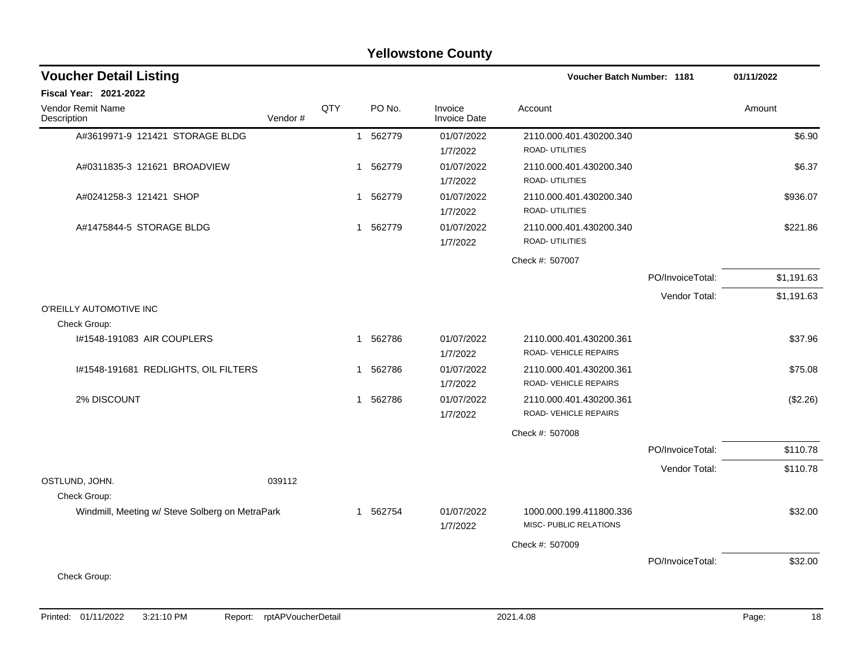|                                      |                                                 |        |                                                                                                      |                                                   |                  | 01/11/2022                 |
|--------------------------------------|-------------------------------------------------|--------|------------------------------------------------------------------------------------------------------|---------------------------------------------------|------------------|----------------------------|
|                                      |                                                 |        |                                                                                                      |                                                   |                  |                            |
| Vendor#                              | QTY                                             | PO No. | Invoice<br><b>Invoice Date</b>                                                                       | Account                                           |                  | Amount                     |
|                                      |                                                 |        | 01/07/2022<br>1/7/2022                                                                               | 2110.000.401.430200.340<br>ROAD- UTILITIES        |                  | \$6.90                     |
|                                      |                                                 |        | 01/07/2022<br>1/7/2022                                                                               | 2110.000.401.430200.340<br>ROAD- UTILITIES        |                  | \$6.37                     |
|                                      |                                                 | 562779 | 01/07/2022<br>1/7/2022                                                                               | 2110.000.401.430200.340<br>ROAD- UTILITIES        |                  | \$936.07                   |
|                                      |                                                 |        | 01/07/2022<br>1/7/2022                                                                               | 2110.000.401.430200.340<br>ROAD- UTILITIES        |                  | \$221.86                   |
|                                      |                                                 |        |                                                                                                      | Check #: 507007                                   |                  |                            |
|                                      |                                                 |        |                                                                                                      |                                                   | PO/InvoiceTotal: | \$1,191.63                 |
|                                      |                                                 |        |                                                                                                      |                                                   | Vendor Total:    | \$1,191.63                 |
|                                      |                                                 |        |                                                                                                      |                                                   |                  |                            |
|                                      |                                                 |        | 01/07/2022<br>1/7/2022                                                                               | 2110.000.401.430200.361<br>ROAD- VEHICLE REPAIRS  |                  | \$37.96                    |
| I#1548-191681 REDLIGHTS, OIL FILTERS |                                                 | 562786 | 01/07/2022<br>1/7/2022                                                                               | 2110.000.401.430200.361<br>ROAD- VEHICLE REPAIRS  |                  | \$75.08                    |
|                                      |                                                 |        | 01/07/2022<br>1/7/2022                                                                               | 2110.000.401.430200.361<br>ROAD- VEHICLE REPAIRS  |                  | (\$2.26)                   |
|                                      |                                                 |        |                                                                                                      | Check #: 507008                                   |                  |                            |
|                                      |                                                 |        |                                                                                                      |                                                   | PO/InvoiceTotal: | \$110.78                   |
| 039112                               |                                                 |        |                                                                                                      |                                                   | Vendor Total:    | \$110.78                   |
|                                      |                                                 |        |                                                                                                      |                                                   |                  |                            |
|                                      |                                                 |        | 01/07/2022<br>1/7/2022                                                                               | 1000.000.199.411800.336<br>MISC- PUBLIC RELATIONS |                  | \$32.00                    |
|                                      |                                                 |        |                                                                                                      | Check #: 507009                                   |                  |                            |
|                                      |                                                 |        |                                                                                                      |                                                   | PO/InvoiceTotal: | \$32.00                    |
|                                      | Windmill, Meeting w/ Steve Solberg on MetraPark |        | 1 562779<br>1 562779<br>$\mathbf{1}$<br>1 562779<br>1 562786<br>$\mathbf{1}$<br>1 562786<br>1 562754 |                                                   |                  | Voucher Batch Number: 1181 |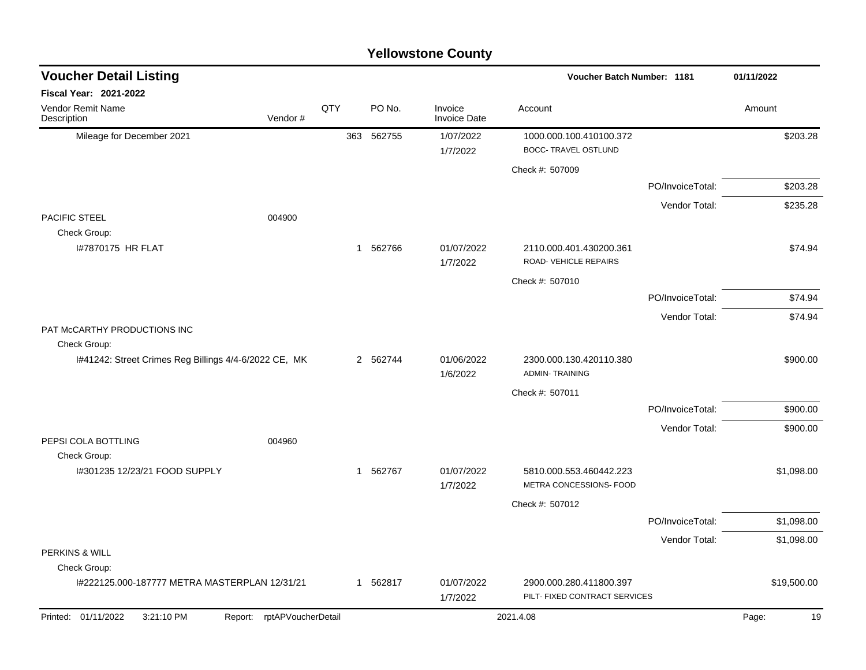|                                                       |                    |     |          | <b>Yellowstone County</b>      |                                                          |                  |             |
|-------------------------------------------------------|--------------------|-----|----------|--------------------------------|----------------------------------------------------------|------------------|-------------|
| <b>Voucher Detail Listing</b>                         |                    |     |          |                                | Voucher Batch Number: 1181                               |                  | 01/11/2022  |
| Fiscal Year: 2021-2022                                |                    |     |          |                                |                                                          |                  |             |
| Vendor Remit Name<br>Description                      | Vendor#            | QTY | PO No.   | Invoice<br><b>Invoice Date</b> | Account                                                  |                  | Amount      |
| Mileage for December 2021                             |                    | 363 | 562755   | 1/07/2022<br>1/7/2022          | 1000.000.100.410100.372<br><b>BOCC- TRAVEL OSTLUND</b>   |                  | \$203.28    |
|                                                       |                    |     |          |                                | Check #: 507009                                          |                  |             |
|                                                       |                    |     |          |                                |                                                          | PO/InvoiceTotal: | \$203.28    |
|                                                       |                    |     |          |                                |                                                          | Vendor Total:    | \$235.28    |
| <b>PACIFIC STEEL</b>                                  | 004900             |     |          |                                |                                                          |                  |             |
| Check Group:<br>I#7870175 HR FLAT                     |                    | -1  | 562766   | 01/07/2022<br>1/7/2022         | 2110.000.401.430200.361<br>ROAD- VEHICLE REPAIRS         |                  | \$74.94     |
|                                                       |                    |     |          |                                | Check #: 507010                                          |                  |             |
|                                                       |                    |     |          |                                |                                                          | PO/InvoiceTotal: | \$74.94     |
|                                                       |                    |     |          |                                |                                                          | Vendor Total:    | \$74.94     |
| PAT McCARTHY PRODUCTIONS INC<br>Check Group:          |                    |     |          |                                |                                                          |                  |             |
| I#41242: Street Crimes Reg Billings 4/4-6/2022 CE, MK |                    |     | 2 562744 | 01/06/2022<br>1/6/2022         | 2300.000.130.420110.380<br><b>ADMIN-TRAINING</b>         |                  | \$900.00    |
|                                                       |                    |     |          |                                | Check #: 507011                                          |                  |             |
|                                                       |                    |     |          |                                |                                                          | PO/InvoiceTotal: | \$900.00    |
|                                                       |                    |     |          |                                |                                                          | Vendor Total:    | \$900.00    |
| PEPSI COLA BOTTLING<br>Check Group:                   | 004960             |     |          |                                |                                                          |                  |             |
| I#301235 12/23/21 FOOD SUPPLY                         |                    | -1  | 562767   | 01/07/2022<br>1/7/2022         | 5810.000.553.460442.223<br>METRA CONCESSIONS- FOOD       |                  | \$1,098.00  |
|                                                       |                    |     |          |                                | Check #: 507012                                          |                  |             |
|                                                       |                    |     |          |                                |                                                          | PO/InvoiceTotal: | \$1,098.00  |
|                                                       |                    |     |          |                                |                                                          | Vendor Total:    | \$1,098.00  |
| PERKINS & WILL<br>Check Group:                        |                    |     |          |                                |                                                          |                  |             |
| I#222125.000-187777 METRA MASTERPLAN 12/31/21         |                    |     | 1 562817 | 01/07/2022<br>1/7/2022         | 2900.000.280.411800.397<br>PILT- FIXED CONTRACT SERVICES |                  | \$19,500.00 |
| Printed: 01/11/2022<br>3:21:10 PM<br>Report:          | rptAPVoucherDetail |     |          |                                | 2021.4.08                                                |                  | 19<br>Page: |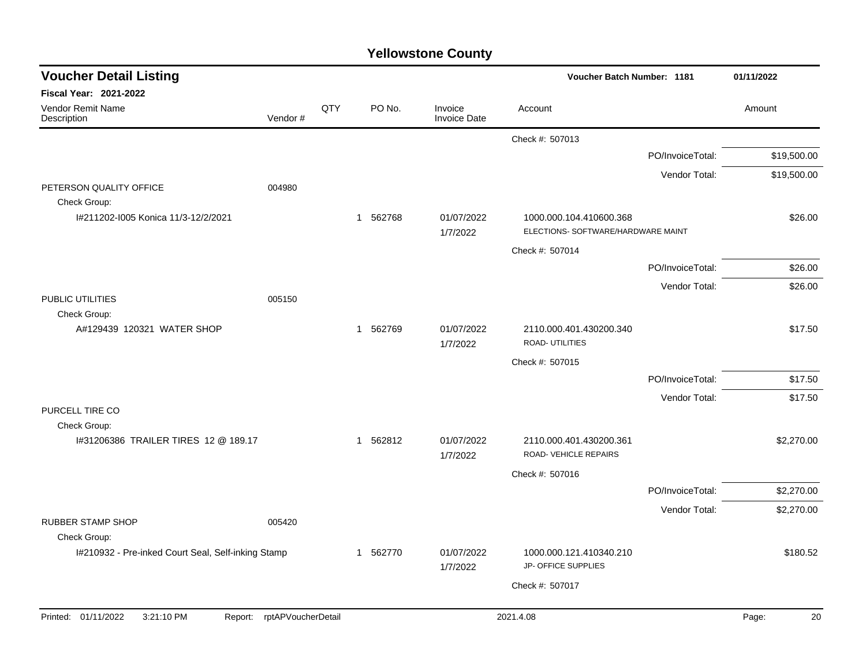| <b>Voucher Detail Listing</b>                                     |                    |     |          |                                | <b>Voucher Batch Number: 1181</b>                             |                  | 01/11/2022  |
|-------------------------------------------------------------------|--------------------|-----|----------|--------------------------------|---------------------------------------------------------------|------------------|-------------|
| <b>Fiscal Year: 2021-2022</b><br>Vendor Remit Name<br>Description | Vendor#            | QTY | PO No.   | Invoice<br><b>Invoice Date</b> | Account                                                       |                  | Amount      |
|                                                                   |                    |     |          |                                | Check #: 507013                                               |                  |             |
|                                                                   |                    |     |          |                                |                                                               | PO/InvoiceTotal: | \$19,500.00 |
|                                                                   |                    |     |          |                                |                                                               | Vendor Total:    | \$19,500.00 |
| PETERSON QUALITY OFFICE<br>Check Group:                           | 004980             |     |          |                                |                                                               |                  |             |
| I#211202-I005 Konica 11/3-12/2/2021                               |                    |     | 1 562768 | 01/07/2022<br>1/7/2022         | 1000.000.104.410600.368<br>ELECTIONS- SOFTWARE/HARDWARE MAINT |                  | \$26.00     |
|                                                                   |                    |     |          |                                | Check #: 507014                                               |                  |             |
|                                                                   |                    |     |          |                                |                                                               | PO/InvoiceTotal: | \$26.00     |
|                                                                   |                    |     |          |                                |                                                               | Vendor Total:    | \$26.00     |
| PUBLIC UTILITIES<br>Check Group:                                  | 005150             |     |          |                                |                                                               |                  |             |
| A#129439 120321 WATER SHOP                                        |                    |     | 1 562769 | 01/07/2022<br>1/7/2022         | 2110.000.401.430200.340<br>ROAD- UTILITIES                    |                  | \$17.50     |
|                                                                   |                    |     |          |                                | Check #: 507015                                               |                  |             |
|                                                                   |                    |     |          |                                |                                                               | PO/InvoiceTotal: | \$17.50     |
|                                                                   |                    |     |          |                                |                                                               | Vendor Total:    | \$17.50     |
| PURCELL TIRE CO<br>Check Group:                                   |                    |     |          |                                |                                                               |                  |             |
| #31206386 TRAILER TIRES 12 @ 189.17                               |                    |     | 1 562812 | 01/07/2022<br>1/7/2022         | 2110.000.401.430200.361<br>ROAD-VEHICLE REPAIRS               |                  | \$2,270.00  |
|                                                                   |                    |     |          |                                | Check #: 507016                                               |                  |             |
|                                                                   |                    |     |          |                                |                                                               | PO/InvoiceTotal: | \$2,270.00  |
| RUBBER STAMP SHOP<br>Check Group:                                 | 005420             |     |          |                                |                                                               | Vendor Total:    | \$2,270.00  |
| I#210932 - Pre-inked Court Seal, Self-inking Stamp                |                    |     | 1 562770 | 01/07/2022<br>1/7/2022         | 1000.000.121.410340.210<br>JP- OFFICE SUPPLIES                |                  | \$180.52    |
|                                                                   |                    |     |          |                                | Check #: 507017                                               |                  |             |
|                                                                   |                    |     |          |                                |                                                               |                  |             |
| Printed: 01/11/2022<br>3:21:10 PM<br>Report:                      | rptAPVoucherDetail |     |          |                                | 2021.4.08                                                     |                  | Page:<br>20 |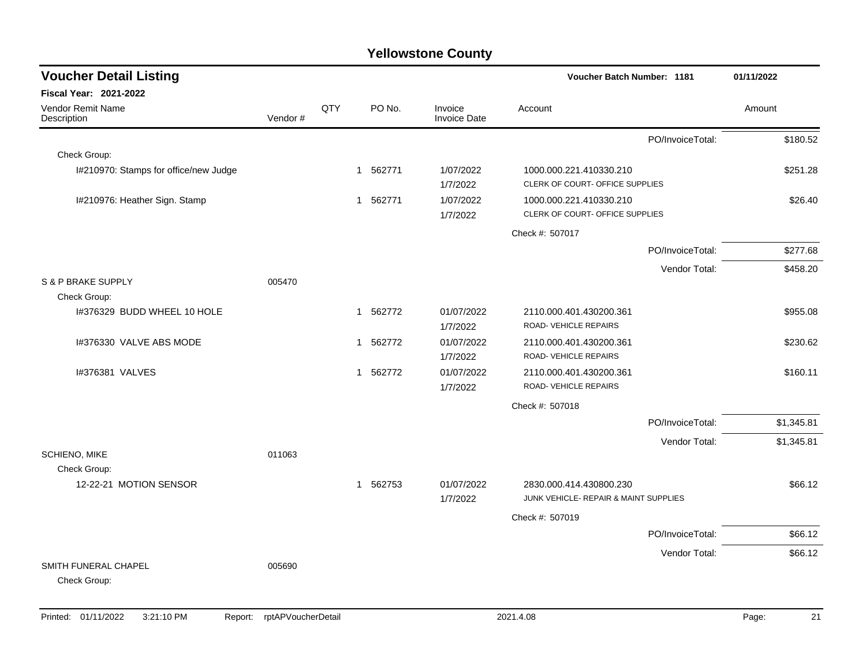|         |     |             |                                |                                                  |                         | 01/11/2022                                                                                                                                |
|---------|-----|-------------|--------------------------------|--------------------------------------------------|-------------------------|-------------------------------------------------------------------------------------------------------------------------------------------|
|         |     |             |                                |                                                  |                         |                                                                                                                                           |
| Vendor# | QTY | PO No.      | Invoice<br><b>Invoice Date</b> | Account                                          |                         | Amount                                                                                                                                    |
|         |     |             |                                |                                                  | PO/InvoiceTotal:        | \$180.52                                                                                                                                  |
|         |     |             |                                |                                                  |                         |                                                                                                                                           |
|         |     | 1 562771    | 1/07/2022<br>1/7/2022          | 1000.000.221.410330.210                          |                         | \$251.28                                                                                                                                  |
|         |     | 1 562771    | 1/07/2022<br>1/7/2022          | 1000.000.221.410330.210                          |                         | \$26.40                                                                                                                                   |
|         |     |             |                                | Check #: 507017                                  |                         |                                                                                                                                           |
|         |     |             |                                |                                                  | PO/InvoiceTotal:        | \$277.68                                                                                                                                  |
|         |     |             |                                |                                                  | Vendor Total:           | \$458.20                                                                                                                                  |
| 005470  |     |             |                                |                                                  |                         |                                                                                                                                           |
|         |     |             |                                |                                                  |                         |                                                                                                                                           |
|         |     |             | 1/7/2022                       | ROAD-VEHICLE REPAIRS                             |                         | \$955.08                                                                                                                                  |
|         |     | 1 562772    | 01/07/2022<br>1/7/2022         | 2110.000.401.430200.361<br>ROAD-VEHICLE REPAIRS  |                         | \$230.62                                                                                                                                  |
|         |     | 1 562772    | 01/07/2022<br>1/7/2022         | 2110.000.401.430200.361<br>ROAD- VEHICLE REPAIRS |                         | \$160.11                                                                                                                                  |
|         |     |             |                                | Check #: 507018                                  |                         |                                                                                                                                           |
|         |     |             |                                |                                                  | PO/InvoiceTotal:        | \$1,345.81                                                                                                                                |
|         |     |             |                                |                                                  | Vendor Total:           | \$1,345.81                                                                                                                                |
| 011063  |     |             |                                |                                                  |                         |                                                                                                                                           |
|         |     | 562753<br>1 | 01/07/2022<br>1/7/2022         | 2830.000.414.430800.230                          |                         | \$66.12                                                                                                                                   |
|         |     |             |                                | Check #: 507019                                  |                         |                                                                                                                                           |
|         |     |             |                                |                                                  | PO/InvoiceTotal:        | \$66.12                                                                                                                                   |
|         |     |             |                                |                                                  | Vendor Total:           | \$66.12                                                                                                                                   |
| 005690  |     |             |                                |                                                  |                         |                                                                                                                                           |
|         |     |             | 562772<br>$\mathbf{1}$         | 01/07/2022                                       | 2110.000.401.430200.361 | Voucher Batch Number: 1181<br>CLERK OF COURT- OFFICE SUPPLIES<br>CLERK OF COURT- OFFICE SUPPLIES<br>JUNK VEHICLE- REPAIR & MAINT SUPPLIES |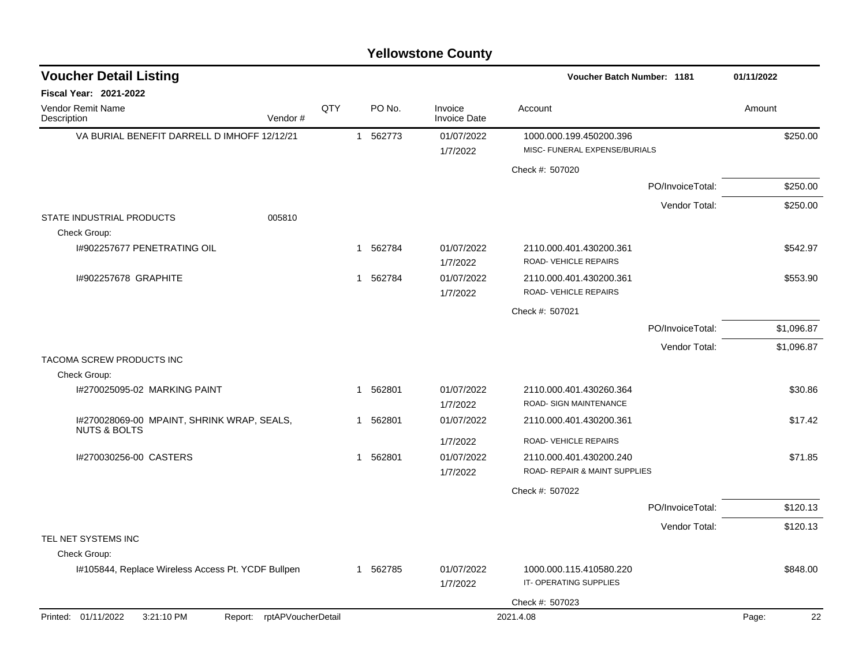| <b>Yellowstone County</b> |  |
|---------------------------|--|
|---------------------------|--|

| <b>Voucher Detail Listing</b>                                         |     |              |          |                                | Voucher Batch Number: 1181                               |                  | 01/11/2022 |    |
|-----------------------------------------------------------------------|-----|--------------|----------|--------------------------------|----------------------------------------------------------|------------------|------------|----|
| <b>Fiscal Year: 2021-2022</b>                                         |     |              |          |                                |                                                          |                  |            |    |
| <b>Vendor Remit Name</b><br>Description<br>Vendor#                    | QTY |              | PO No.   | Invoice<br><b>Invoice Date</b> | Account                                                  |                  | Amount     |    |
| VA BURIAL BENEFIT DARRELL D IMHOFF 12/12/21                           |     | $\mathbf{1}$ | 562773   | 01/07/2022<br>1/7/2022         | 1000.000.199.450200.396<br>MISC- FUNERAL EXPENSE/BURIALS |                  | \$250.00   |    |
|                                                                       |     |              |          |                                | Check #: 507020                                          |                  |            |    |
|                                                                       |     |              |          |                                |                                                          | PO/InvoiceTotal: | \$250.00   |    |
|                                                                       |     |              |          |                                |                                                          | Vendor Total:    | \$250.00   |    |
| STATE INDUSTRIAL PRODUCTS<br>005810<br>Check Group:                   |     |              |          |                                |                                                          |                  |            |    |
| 1#902257677 PENETRATING OIL                                           |     | 1            | 562784   | 01/07/2022<br>1/7/2022         | 2110.000.401.430200.361<br>ROAD-VEHICLE REPAIRS          |                  | \$542.97   |    |
| I#902257678 GRAPHITE                                                  |     | 1            | 562784   | 01/07/2022<br>1/7/2022         | 2110.000.401.430200.361<br>ROAD-VEHICLE REPAIRS          |                  | \$553.90   |    |
|                                                                       |     |              |          |                                | Check #: 507021                                          |                  |            |    |
|                                                                       |     |              |          |                                |                                                          | PO/InvoiceTotal: | \$1,096.87 |    |
|                                                                       |     |              |          |                                |                                                          | Vendor Total:    | \$1,096.87 |    |
| TACOMA SCREW PRODUCTS INC<br>Check Group:                             |     |              |          |                                |                                                          |                  |            |    |
| 1#270025095-02 MARKING PAINT                                          |     | 1            | 562801   | 01/07/2022<br>1/7/2022         | 2110.000.401.430260.364<br>ROAD- SIGN MAINTENANCE        |                  | \$30.86    |    |
| I#270028069-00 MPAINT, SHRINK WRAP, SEALS,<br><b>NUTS &amp; BOLTS</b> |     |              | 1 562801 | 01/07/2022                     | 2110.000.401.430200.361                                  |                  | \$17.42    |    |
|                                                                       |     |              |          | 1/7/2022                       | ROAD-VEHICLE REPAIRS                                     |                  |            |    |
| I#270030256-00 CASTERS                                                |     | 1            | 562801   | 01/07/2022<br>1/7/2022         | 2110.000.401.430200.240<br>ROAD- REPAIR & MAINT SUPPLIES |                  | \$71.85    |    |
|                                                                       |     |              |          |                                | Check #: 507022                                          |                  |            |    |
|                                                                       |     |              |          |                                |                                                          | PO/InvoiceTotal: | \$120.13   |    |
|                                                                       |     |              |          |                                |                                                          | Vendor Total:    | \$120.13   |    |
| TEL NET SYSTEMS INC<br>Check Group:                                   |     |              |          |                                |                                                          |                  |            |    |
| I#105844, Replace Wireless Access Pt. YCDF Bullpen                    |     |              | 1 562785 | 01/07/2022                     | 1000.000.115.410580.220                                  |                  | \$848.00   |    |
|                                                                       |     |              |          | 1/7/2022                       | IT-OPERATING SUPPLIES                                    |                  |            |    |
|                                                                       |     |              |          |                                | Check #: 507023                                          |                  |            |    |
| Printed: 01/11/2022<br>3:21:10 PM<br>Report: rptAPVoucherDetail       |     |              |          |                                | 2021.4.08                                                |                  | Page:      | 22 |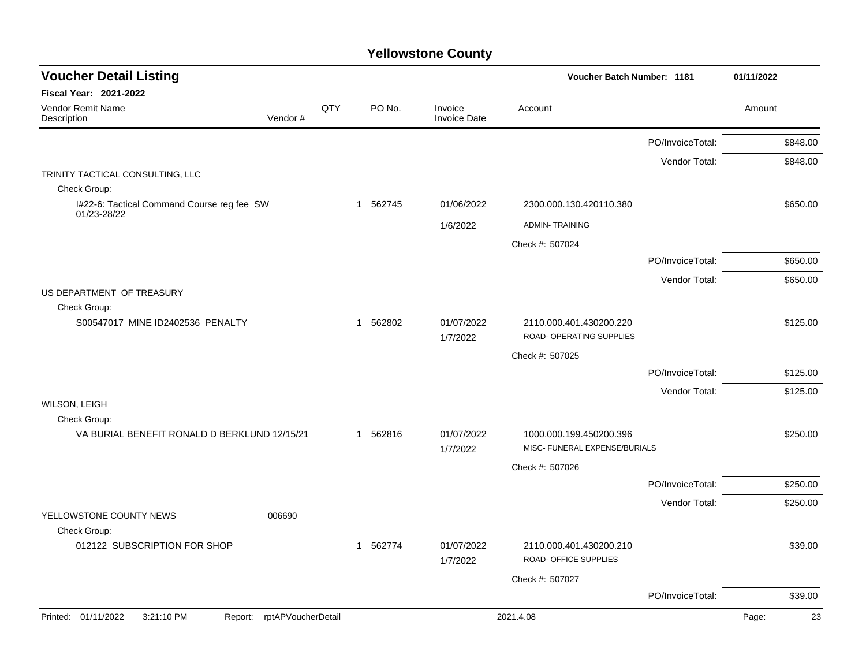| <b>Voucher Detail Listing</b>                                   |     |          |                                |                                                          | <b>Voucher Batch Number: 1181</b> |             |  |
|-----------------------------------------------------------------|-----|----------|--------------------------------|----------------------------------------------------------|-----------------------------------|-------------|--|
| <b>Fiscal Year: 2021-2022</b>                                   |     |          |                                |                                                          |                                   |             |  |
| Vendor Remit Name<br>Description<br>Vendor#                     | QTY | PO No.   | Invoice<br><b>Invoice Date</b> | Account                                                  |                                   | Amount      |  |
|                                                                 |     |          |                                |                                                          | PO/InvoiceTotal:                  | \$848.00    |  |
|                                                                 |     |          |                                |                                                          | Vendor Total:                     | \$848.00    |  |
| TRINITY TACTICAL CONSULTING, LLC                                |     |          |                                |                                                          |                                   |             |  |
| Check Group:                                                    |     |          |                                |                                                          |                                   |             |  |
| I#22-6: Tactical Command Course reg fee SW<br>01/23-28/22       |     | 1 562745 | 01/06/2022                     | 2300.000.130.420110.380                                  |                                   | \$650.00    |  |
|                                                                 |     |          | 1/6/2022                       | <b>ADMIN-TRAINING</b>                                    |                                   |             |  |
|                                                                 |     |          |                                | Check #: 507024                                          |                                   |             |  |
|                                                                 |     |          |                                |                                                          | PO/InvoiceTotal:                  | \$650.00    |  |
|                                                                 |     |          |                                |                                                          | Vendor Total:                     | \$650.00    |  |
| US DEPARTMENT OF TREASURY                                       |     |          |                                |                                                          |                                   |             |  |
| Check Group:<br>S00547017 MINE ID2402536 PENALTY                |     | 1 562802 | 01/07/2022                     | 2110.000.401.430200.220                                  |                                   | \$125.00    |  |
|                                                                 |     |          | 1/7/2022                       | ROAD- OPERATING SUPPLIES                                 |                                   |             |  |
|                                                                 |     |          |                                | Check #: 507025                                          |                                   |             |  |
|                                                                 |     |          |                                |                                                          | PO/InvoiceTotal:                  | \$125.00    |  |
|                                                                 |     |          |                                |                                                          | Vendor Total:                     | \$125.00    |  |
| WILSON, LEIGH                                                   |     |          |                                |                                                          |                                   |             |  |
| Check Group:                                                    |     |          |                                |                                                          |                                   |             |  |
| VA BURIAL BENEFIT RONALD D BERKLUND 12/15/21                    |     | 1 562816 | 01/07/2022<br>1/7/2022         | 1000.000.199.450200.396<br>MISC- FUNERAL EXPENSE/BURIALS |                                   | \$250.00    |  |
|                                                                 |     |          |                                | Check #: 507026                                          |                                   |             |  |
|                                                                 |     |          |                                |                                                          | PO/InvoiceTotal:                  | \$250.00    |  |
|                                                                 |     |          |                                |                                                          | Vendor Total:                     | \$250.00    |  |
| YELLOWSTONE COUNTY NEWS<br>006690<br>Check Group:               |     |          |                                |                                                          |                                   |             |  |
| 012122 SUBSCRIPTION FOR SHOP                                    |     | 1 562774 | 01/07/2022                     | 2110.000.401.430200.210                                  |                                   | \$39.00     |  |
|                                                                 |     |          | 1/7/2022                       | ROAD- OFFICE SUPPLIES                                    |                                   |             |  |
|                                                                 |     |          |                                | Check #: 507027                                          |                                   |             |  |
|                                                                 |     |          |                                |                                                          | PO/InvoiceTotal:                  | \$39.00     |  |
| Printed: 01/11/2022<br>3:21:10 PM<br>Report: rptAPVoucherDetail |     |          |                                | 2021.4.08                                                |                                   | 23<br>Page: |  |